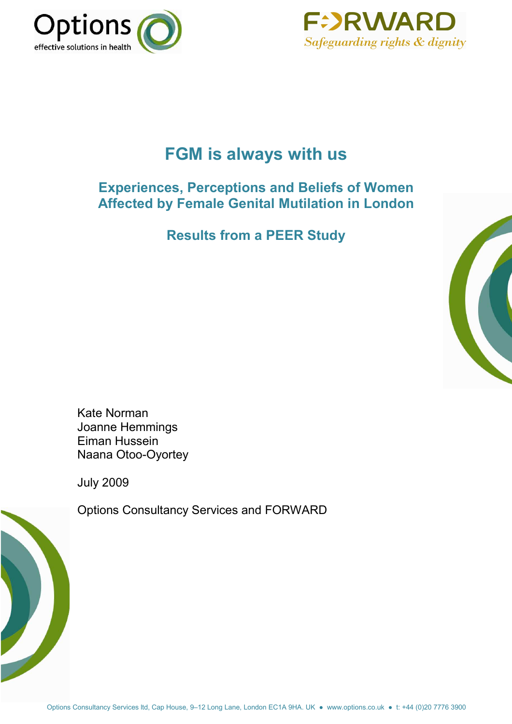



# **FGM is always with us**

# **Experiences, Perceptions and Beliefs of Women Affected by Female Genital Mutilation in London**

**Results from a PEER Study** 



Kate Norman Joanne Hemmings Eiman Hussein Naana Otoo-Oyortey

July 2009



Options Consultancy Services and FORWARD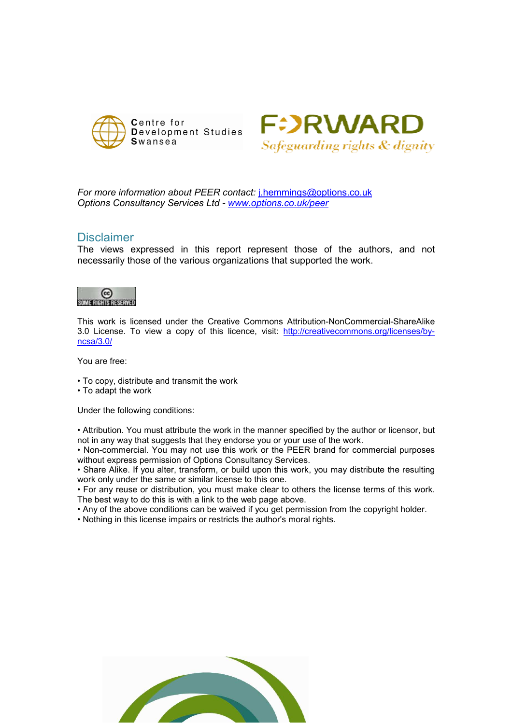



*For more information about PEER contact:* [j.hemmings@options.co.uk](mailto:j.hemmings@options.co.uk) *Options Consultancy Services Ltd - [www.options.co.uk/peer](http://www.options.co.uk/peer)* 

# Disclaimer

The views expressed in this report represent those of the authors, and not necessarily those of the various organizations that supported the work.



This work is licensed under the Creative Commons Attribution-NonCommercial-ShareAlike 3.0 License. To view a copy of this licence, visit: [http://creativecommons.org/licenses/by](http://creativecommons.org/licenses/by-ncsa/3.0/)[ncsa/3.0/](http://creativecommons.org/licenses/by-ncsa/3.0/) 

You are free:

- To copy, distribute and transmit the work
- To adapt the work

Under the following conditions:

• Attribution. You must attribute the work in the manner specified by the author or licensor, but not in any way that suggests that they endorse you or your use of the work.

• Non-commercial. You may not use this work or the PEER brand for commercial purposes without express permission of Options Consultancy Services.

• Share Alike. If you alter, transform, or build upon this work, you may distribute the resulting work only under the same or similar license to this one.

• For any reuse or distribution, you must make clear to others the license terms of this work. The best way to do this is with a link to the web page above.

• Any of the above conditions can be waived if you get permission from the copyright holder.

• Nothing in this license impairs or restricts the author's moral rights.

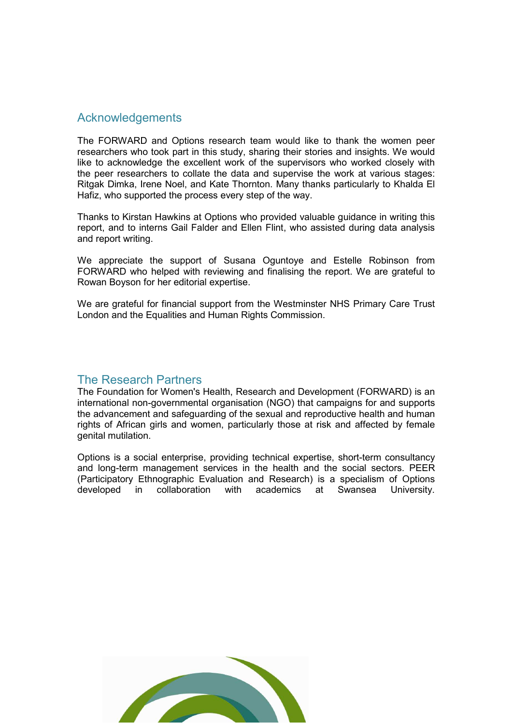# Acknowledgements

The FORWARD and Options research team would like to thank the women peer researchers who took part in this study, sharing their stories and insights. We would like to acknowledge the excellent work of the supervisors who worked closely with the peer researchers to collate the data and supervise the work at various stages: Ritgak Dimka, Irene Noel, and Kate Thornton. Many thanks particularly to Khalda El Hafiz, who supported the process every step of the way.

Thanks to Kirstan Hawkins at Options who provided valuable guidance in writing this report, and to interns Gail Falder and Ellen Flint, who assisted during data analysis and report writing.

We appreciate the support of Susana Oguntoye and Estelle Robinson from FORWARD who helped with reviewing and finalising the report. We are grateful to Rowan Boyson for her editorial expertise.

We are grateful for financial support from the Westminster NHS Primary Care Trust London and the Equalities and Human Rights Commission.

# The Research Partners

The Foundation for Women's Health, Research and Development (FORWARD) is an international non-governmental organisation (NGO) that campaigns for and supports the advancement and safeguarding of the sexual and reproductive health and human rights of African girls and women, particularly those at risk and affected by female genital mutilation.

Options is a social enterprise, providing technical expertise, short-term consultancy and long-term management services in the health and the social sectors. PEER (Participatory Ethnographic Evaluation and Research) is a specialism of Options developed in collaboration with academics at Swansea University.

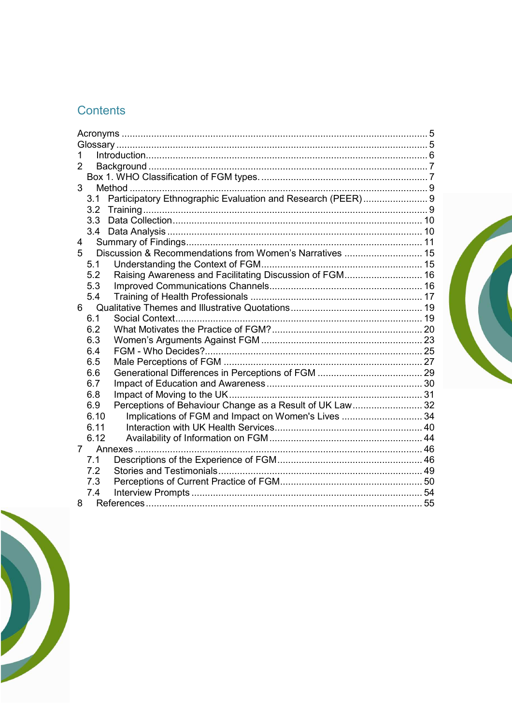# Contents

| 1               |      |                                                             |  |  |
|-----------------|------|-------------------------------------------------------------|--|--|
| $\overline{2}$  |      |                                                             |  |  |
|                 |      |                                                             |  |  |
| 3               |      |                                                             |  |  |
|                 | 3.1  | Participatory Ethnographic Evaluation and Research (PEER) 9 |  |  |
|                 | 3.2  |                                                             |  |  |
|                 | 3.3  |                                                             |  |  |
|                 |      |                                                             |  |  |
| 4               |      |                                                             |  |  |
| 5               |      | Discussion & Recommendations from Women's Narratives  15    |  |  |
|                 | 5.1  |                                                             |  |  |
|                 | 5.2  | Raising Awareness and Facilitating Discussion of FGM 16     |  |  |
|                 | 5.3  |                                                             |  |  |
|                 | 5.4  |                                                             |  |  |
| $6 -$           |      |                                                             |  |  |
|                 | 6.1  |                                                             |  |  |
|                 | 6.2  |                                                             |  |  |
|                 | 6.3  |                                                             |  |  |
|                 | 6.4  |                                                             |  |  |
|                 | 6.5  |                                                             |  |  |
|                 | 6.6  |                                                             |  |  |
|                 | 6.7  |                                                             |  |  |
|                 | 6.8  |                                                             |  |  |
|                 | 6.9  | Perceptions of Behaviour Change as a Result of UK Law 32    |  |  |
|                 | 6.10 | Implications of FGM and Impact on Women's Lives  34         |  |  |
|                 | 6.11 |                                                             |  |  |
|                 | 6.12 |                                                             |  |  |
| $7\overline{ }$ |      |                                                             |  |  |
|                 | 7.1  |                                                             |  |  |
|                 | 7.2  |                                                             |  |  |
|                 | 7.3  |                                                             |  |  |
|                 | 7.4  |                                                             |  |  |
| 8               |      |                                                             |  |  |

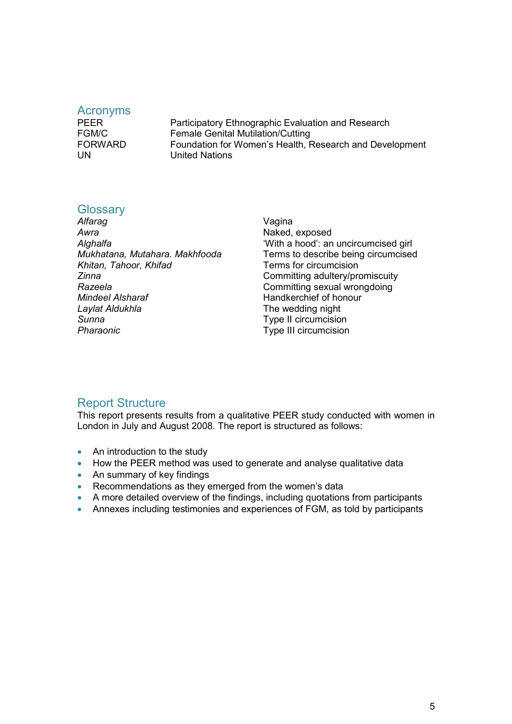#### <span id="page-4-0"></span>Acronyms

PEER **PEER** Participatory Ethnographic Evaluation and Research FGM/C Female Genital Mutilation/Cutting<br>FORWARD Foundation for Women's Health. Foundation for Women's Health, Research and Development UN United Nations

## **Glossary**

| Alfarag                        |
|--------------------------------|
| Awra                           |
| Alghalfa                       |
| Mukhatana, Mutahara. Makhfooda |
| Khitan, Tahoor, Khifad         |
| Zinna                          |
| Razeela                        |
| Mindeel Alsharaf               |
| Laylat Aldukhla                |
| Sunna                          |
| Pharaonic                      |
|                                |

Vagina Naked, exposed 'With a hood': an uncircumcised girl Terms to describe being circumcised **Terms for circumcision** *Zinna* Committing adultery/promiscuity **Committing sexual wrongdoing** *Mindeel Alsharaf* Handkerchief of honour The wedding night **Type II circumcision Type III circumcision** 

# Report Structure

This report presents results from a qualitative PEER study conducted with women in London in July and August 2008. The report is structured as follows:

- An introduction to the study
- How the PEER method was used to generate and analyse qualitative data
- An summary of key findings
- Recommendations as they emerged from the women's data
- A more detailed overview of the findings, including quotations from participants
- Annexes including testimonies and experiences of FGM, as told by participants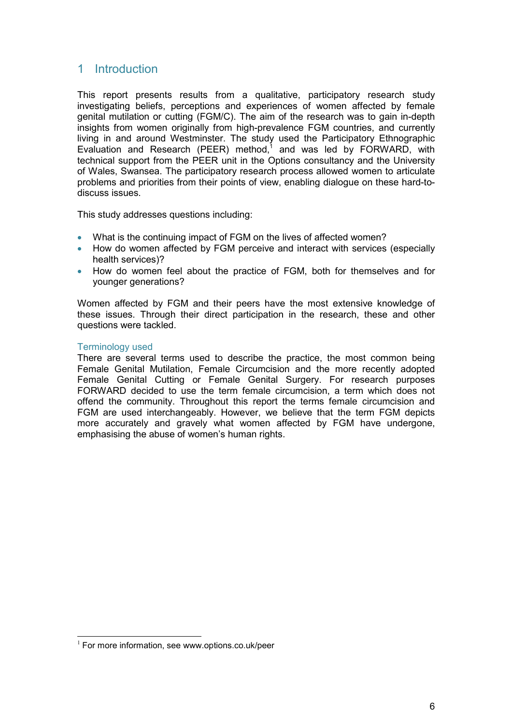# <span id="page-5-0"></span>1 Introduction

This report presents results from a qualitative, participatory research study investigating beliefs, perceptions and experiences of women affected by female genital mutilation or cutting (FGM/C). The aim of the research was to gain in-depth insights from women originally from high-prevalence FGM countries, and currently living in and around Westminster. The study used the Participatory Ethnographic Evaluation and Research (PEER) method,<sup>1</sup> and was led by FORWARD, with technical support from the PEER unit in the Options consultancy and the University of Wales, Swansea. The participatory research process allowed women to articulate problems and priorities from their points of view, enabling dialogue on these hard-todiscuss issues.

This study addresses questions including:

- What is the continuing impact of FGM on the lives of affected women?
- How do women affected by FGM perceive and interact with services (especially health services)?
- How do women feel about the practice of FGM, both for themselves and for younger generations?

Women affected by FGM and their peers have the most extensive knowledge of these issues. Through their direct participation in the research, these and other questions were tackled.

#### Terminology used

j

There are several terms used to describe the practice, the most common being Female Genital Mutilation, Female Circumcision and the more recently adopted Female Genital Cutting or Female Genital Surgery. For research purposes FORWARD decided to use the term female circumcision, a term which does not offend the community. Throughout this report the terms female circumcision and FGM are used interchangeably. However, we believe that the term FGM depicts more accurately and gravely what women affected by FGM have undergone, emphasising the abuse of women's human rights.

 $1$  For more information, see www.options.co.uk/peer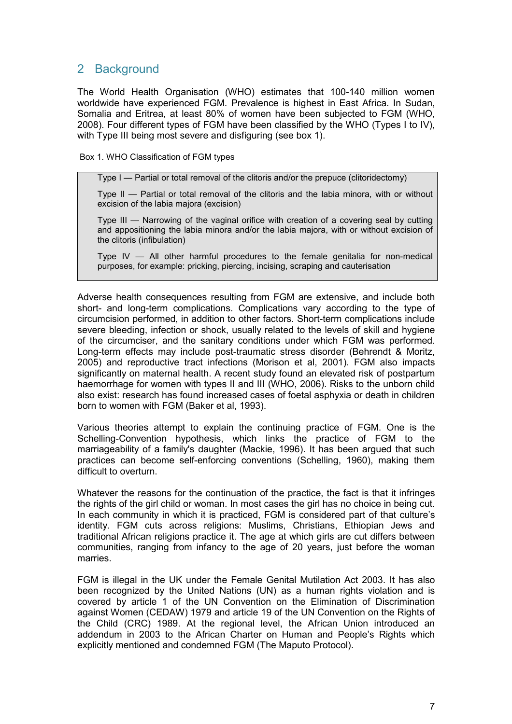# <span id="page-6-0"></span>2 Background

The World Health Organisation (WHO) estimates that 100-140 million women worldwide have experienced FGM. Prevalence is highest in East Africa. In Sudan, Somalia and Eritrea, at least 80% of women have been subjected to FGM (WHO, 2008). Four different types of FGM have been classified by the WHO (Types I to IV), with Type III being most severe and disfiguring (see box 1).

Box 1. WHO Classification of FGM types

Type I — Partial or total removal of the clitoris and/or the prepuce (clitoridectomy)

Type II — Partial or total removal of the clitoris and the labia minora, with or without excision of the labia majora (excision)

Type III — Narrowing of the vaginal orifice with creation of a covering seal by cutting and appositioning the labia minora and/or the labia majora, with or without excision of the clitoris (infibulation)

Type IV — All other harmful procedures to the female genitalia for non-medical purposes, for example: pricking, piercing, incising, scraping and cauterisation

Adverse health consequences resulting from FGM are extensive, and include both short- and long-term complications. Complications vary according to the type of circumcision performed, in addition to other factors. Short-term complications include severe bleeding, infection or shock, usually related to the levels of skill and hygiene of the circumciser, and the sanitary conditions under which FGM was performed. Long-term effects may include post-traumatic stress disorder (Behrendt & Moritz, 2005) and reproductive tract infections (Morison et al, 2001). FGM also impacts significantly on maternal health. A recent study found an elevated risk of postpartum haemorrhage for women with types II and III (WHO, 2006). Risks to the unborn child also exist: research has found increased cases of foetal asphyxia or death in children born to women with FGM (Baker et al, 1993).

Various theories attempt to explain the continuing practice of FGM. One is the Schelling-Convention hypothesis, which links the practice of FGM to the marriageability of a family's daughter (Mackie, 1996). It has been argued that such practices can become self-enforcing conventions (Schelling, 1960), making them difficult to overturn.

Whatever the reasons for the continuation of the practice, the fact is that it infringes the rights of the girl child or woman. In most cases the girl has no choice in being cut. In each community in which it is practiced, FGM is considered part of that culture's identity. FGM cuts across religions: Muslims, Christians, Ethiopian Jews and traditional African religions practice it. The age at which girls are cut differs between communities, ranging from infancy to the age of 20 years, just before the woman marries.

FGM is illegal in the UK under the Female Genital Mutilation Act 2003. It has also been recognized by the United Nations (UN) as a human rights violation and is covered by article 1 of the UN Convention on the Elimination of Discrimination against Women (CEDAW) 1979 and article 19 of the UN Convention on the Rights of the Child (CRC) 1989. At the regional level, the African Union introduced an addendum in 2003 to the African Charter on Human and People's Rights which explicitly mentioned and condemned FGM (The Maputo Protocol).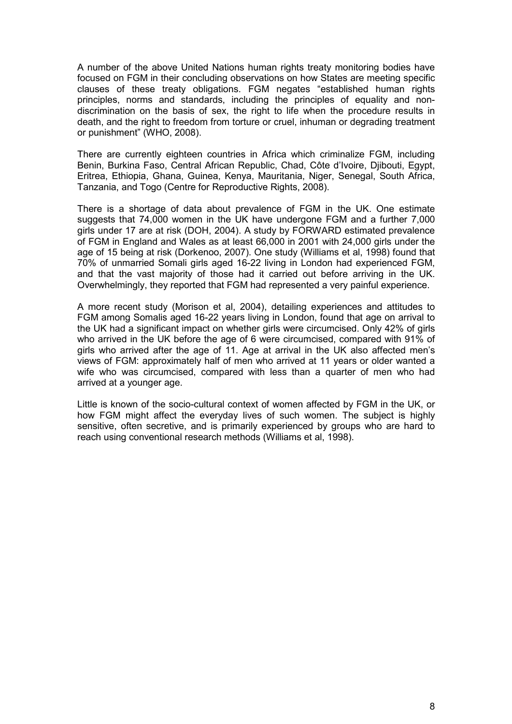A number of the above United Nations human rights treaty monitoring bodies have focused on FGM in their concluding observations on how States are meeting specific clauses of these treaty obligations. FGM negates "established human rights principles, norms and standards, including the principles of equality and nondiscrimination on the basis of sex, the right to life when the procedure results in death, and the right to freedom from torture or cruel, inhuman or degrading treatment or punishment" (WHO, 2008).

There are currently eighteen countries in Africa which criminalize FGM, including Benin, Burkina Faso, Central African Republic, Chad, Côte d'Ivoire, Djibouti, Egypt, Eritrea, Ethiopia, Ghana, Guinea, Kenya, Mauritania, Niger, Senegal, South Africa, Tanzania, and Togo (Centre for Reproductive Rights, 2008).

There is a shortage of data about prevalence of FGM in the UK. One estimate suggests that 74,000 women in the UK have undergone FGM and a further 7,000 girls under 17 are at risk (DOH, 2004). A study by FORWARD estimated prevalence of FGM in England and Wales as at least 66,000 in 2001 with 24,000 girls under the age of 15 being at risk (Dorkenoo, 2007). One study (Williams et al, 1998) found that 70% of unmarried Somali girls aged 16-22 living in London had experienced FGM, and that the vast majority of those had it carried out before arriving in the UK. Overwhelmingly, they reported that FGM had represented a very painful experience.

A more recent study (Morison et al, 2004), detailing experiences and attitudes to FGM among Somalis aged 16-22 years living in London, found that age on arrival to the UK had a significant impact on whether girls were circumcised. Only 42% of girls who arrived in the UK before the age of 6 were circumcised, compared with 91% of girls who arrived after the age of 11. Age at arrival in the UK also affected men's views of FGM: approximately half of men who arrived at 11 years or older wanted a wife who was circumcised, compared with less than a quarter of men who had arrived at a younger age.

Little is known of the socio-cultural context of women affected by FGM in the UK, or how FGM might affect the everyday lives of such women. The subject is highly sensitive, often secretive, and is primarily experienced by groups who are hard to reach using conventional research methods (Williams et al, 1998).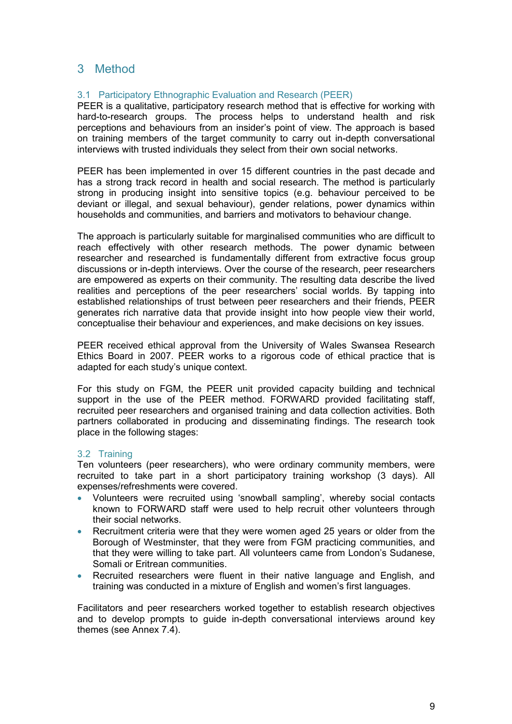# <span id="page-8-0"></span>3 Method

# 3.1 Participatory Ethnographic Evaluation and Research (PEER)

PEER is a qualitative, participatory research method that is effective for working with hard-to-research groups. The process helps to understand health and risk perceptions and behaviours from an insider's point of view. The approach is based on training members of the target community to carry out in-depth conversational interviews with trusted individuals they select from their own social networks.

PEER has been implemented in over 15 different countries in the past decade and has a strong track record in health and social research. The method is particularly strong in producing insight into sensitive topics (e.g. behaviour perceived to be deviant or illegal, and sexual behaviour), gender relations, power dynamics within households and communities, and barriers and motivators to behaviour change.

The approach is particularly suitable for marginalised communities who are difficult to reach effectively with other research methods. The power dynamic between researcher and researched is fundamentally different from extractive focus group discussions or in-depth interviews. Over the course of the research, peer researchers are empowered as experts on their community. The resulting data describe the lived realities and perceptions of the peer researchers' social worlds. By tapping into established relationships of trust between peer researchers and their friends, PEER generates rich narrative data that provide insight into how people view their world, conceptualise their behaviour and experiences, and make decisions on key issues.

PEER received ethical approval from the University of Wales Swansea Research Ethics Board in 2007. PEER works to a rigorous code of ethical practice that is adapted for each study's unique context.

For this study on FGM, the PEER unit provided capacity building and technical support in the use of the PEER method. FORWARD provided facilitating staff, recruited peer researchers and organised training and data collection activities. Both partners collaborated in producing and disseminating findings. The research took place in the following stages:

## 3.2 Training

Ten volunteers (peer researchers), who were ordinary community members, were recruited to take part in a short participatory training workshop (3 days). All expenses/refreshments were covered.

- Volunteers were recruited using 'snowball sampling', whereby social contacts known to FORWARD staff were used to help recruit other volunteers through their social networks.
- Recruitment criteria were that they were women aged 25 years or older from the Borough of Westminster, that they were from FGM practicing communities, and that they were willing to take part. All volunteers came from London's Sudanese, Somali or Eritrean communities.
- Recruited researchers were fluent in their native language and English, and training was conducted in a mixture of English and women's first languages.

Facilitators and peer researchers worked together to establish research objectives and to develop prompts to guide in-depth conversational interviews around key themes (see Annex 7.4).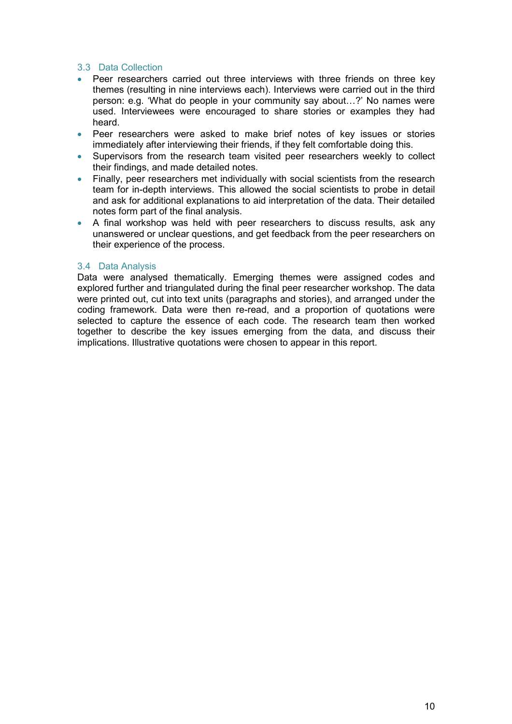## <span id="page-9-0"></span>3.3 Data Collection

- Peer researchers carried out three interviews with three friends on three key themes (resulting in nine interviews each). Interviews were carried out in the third person: e.g. 'What do people in your community say about…?' No names were used. Interviewees were encouraged to share stories or examples they had heard.
- Peer researchers were asked to make brief notes of key issues or stories immediately after interviewing their friends, if they felt comfortable doing this.
- Supervisors from the research team visited peer researchers weekly to collect their findings, and made detailed notes.
- Finally, peer researchers met individually with social scientists from the research team for in-depth interviews. This allowed the social scientists to probe in detail and ask for additional explanations to aid interpretation of the data. Their detailed notes form part of the final analysis.
- A final workshop was held with peer researchers to discuss results, ask any unanswered or unclear questions, and get feedback from the peer researchers on their experience of the process.

## 3.4 Data Analysis

Data were analysed thematically. Emerging themes were assigned codes and explored further and triangulated during the final peer researcher workshop. The data were printed out, cut into text units (paragraphs and stories), and arranged under the coding framework. Data were then re-read, and a proportion of quotations were selected to capture the essence of each code. The research team then worked together to describe the key issues emerging from the data, and discuss their implications. Illustrative quotations were chosen to appear in this report.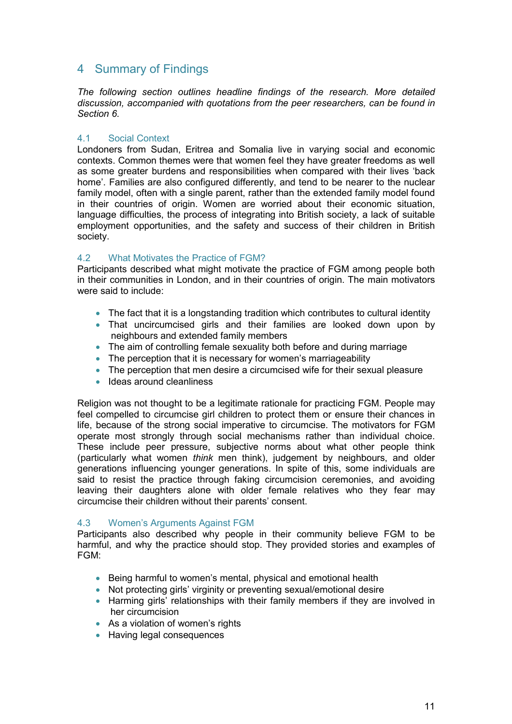# <span id="page-10-0"></span>4 Summary of Findings

*The following section outlines headline findings of the research. More detailed discussion, accompanied with quotations from the peer researchers, can be found in Section 6.* 

## 4.1 Social Context

Londoners from Sudan, Eritrea and Somalia live in varying social and economic contexts. Common themes were that women feel they have greater freedoms as well as some greater burdens and responsibilities when compared with their lives 'back home'. Families are also configured differently, and tend to be nearer to the nuclear family model, often with a single parent, rather than the extended family model found in their countries of origin. Women are worried about their economic situation, language difficulties, the process of integrating into British society, a lack of suitable employment opportunities, and the safety and success of their children in British society.

# 4.2 What Motivates the Practice of FGM?

Participants described what might motivate the practice of FGM among people both in their communities in London, and in their countries of origin. The main motivators were said to include:

- The fact that it is a longstanding tradition which contributes to cultural identity
- That uncircumcised girls and their families are looked down upon by neighbours and extended family members
- The aim of controlling female sexuality both before and during marriage
- The perception that it is necessary for women's marriageability
- The perception that men desire a circumcised wife for their sexual pleasure
- Ideas around cleanliness

Religion was not thought to be a legitimate rationale for practicing FGM. People may feel compelled to circumcise girl children to protect them or ensure their chances in life, because of the strong social imperative to circumcise. The motivators for FGM operate most strongly through social mechanisms rather than individual choice. These include peer pressure, subjective norms about what other people think (particularly what women *think* men think), judgement by neighbours, and older generations influencing younger generations. In spite of this, some individuals are said to resist the practice through faking circumcision ceremonies, and avoiding leaving their daughters alone with older female relatives who they fear may circumcise their children without their parents' consent.

## 4.3 Women's Arguments Against FGM

Participants also described why people in their community believe FGM to be harmful, and why the practice should stop. They provided stories and examples of FGM:

- Being harmful to women's mental, physical and emotional health
- Not protecting girls' virginity or preventing sexual/emotional desire
- Harming girls' relationships with their family members if they are involved in her circumcision
- As a violation of women's rights
- Having legal consequences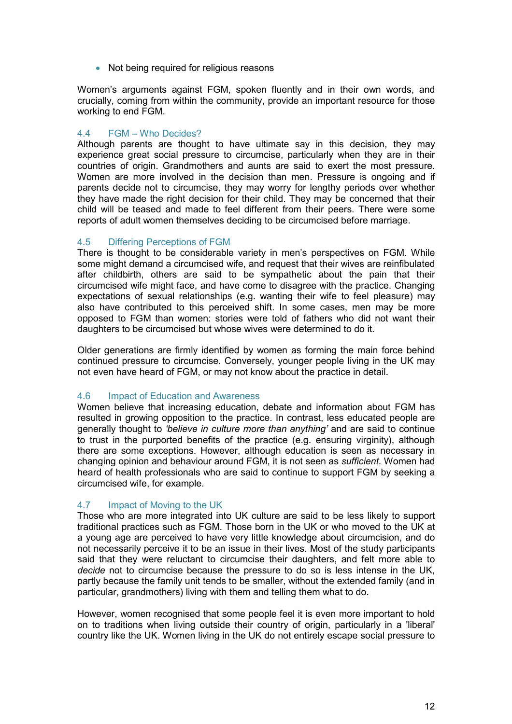• Not being required for religious reasons

Women's arguments against FGM, spoken fluently and in their own words, and crucially, coming from within the community, provide an important resource for those working to end FGM.

## 4.4 FGM – Who Decides?

Although parents are thought to have ultimate say in this decision, they may experience great social pressure to circumcise, particularly when they are in their countries of origin. Grandmothers and aunts are said to exert the most pressure. Women are more involved in the decision than men. Pressure is ongoing and if parents decide not to circumcise, they may worry for lengthy periods over whether they have made the right decision for their child. They may be concerned that their child will be teased and made to feel different from their peers. There were some reports of adult women themselves deciding to be circumcised before marriage.

## 4.5 Differing Perceptions of FGM

There is thought to be considerable variety in men's perspectives on FGM. While some might demand a circumcised wife, and request that their wives are reinfibulated after childbirth, others are said to be sympathetic about the pain that their circumcised wife might face, and have come to disagree with the practice. Changing expectations of sexual relationships (e.g. wanting their wife to feel pleasure) may also have contributed to this perceived shift. In some cases, men may be more opposed to FGM than women: stories were told of fathers who did not want their daughters to be circumcised but whose wives were determined to do it.

Older generations are firmly identified by women as forming the main force behind continued pressure to circumcise. Conversely, younger people living in the UK may not even have heard of FGM, or may not know about the practice in detail.

## 4.6 Impact of Education and Awareness

Women believe that increasing education, debate and information about FGM has resulted in growing opposition to the practice. In contrast, less educated people are generally thought to *'believe in culture more than anything'* and are said to continue to trust in the purported benefits of the practice (e.g. ensuring virginity), although there are some exceptions. However, although education is seen as necessary in changing opinion and behaviour around FGM, it is not seen as *sufficient*. Women had heard of health professionals who are said to continue to support FGM by seeking a circumcised wife, for example.

## 4.7 Impact of Moving to the UK

Those who are more integrated into UK culture are said to be less likely to support traditional practices such as FGM. Those born in the UK or who moved to the UK at a young age are perceived to have very little knowledge about circumcision, and do not necessarily perceive it to be an issue in their lives. Most of the study participants said that they were reluctant to circumcise their daughters, and felt more able to *decide* not to circumcise because the pressure to do so is less intense in the UK, partly because the family unit tends to be smaller, without the extended family (and in particular, grandmothers) living with them and telling them what to do.

However, women recognised that some people feel it is even more important to hold on to traditions when living outside their country of origin, particularly in a 'liberal' country like the UK. Women living in the UK do not entirely escape social pressure to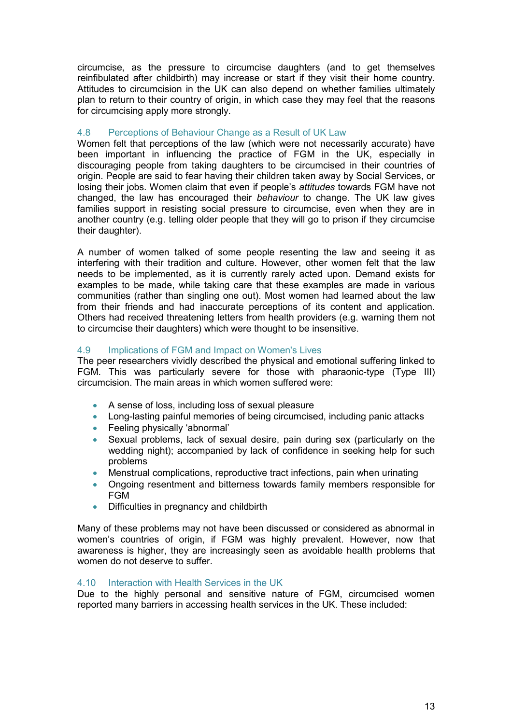circumcise, as the pressure to circumcise daughters (and to get themselves reinfibulated after childbirth) may increase or start if they visit their home country. Attitudes to circumcision in the UK can also depend on whether families ultimately plan to return to their country of origin, in which case they may feel that the reasons for circumcising apply more strongly.

# 4.8 Perceptions of Behaviour Change as a Result of UK Law

Women felt that perceptions of the law (which were not necessarily accurate) have been important in influencing the practice of FGM in the UK, especially in discouraging people from taking daughters to be circumcised in their countries of origin. People are said to fear having their children taken away by Social Services, or losing their jobs. Women claim that even if people's *attitudes* towards FGM have not changed, the law has encouraged their *behaviour* to change. The UK law gives families support in resisting social pressure to circumcise, even when they are in another country (e.g. telling older people that they will go to prison if they circumcise their daughter).

A number of women talked of some people resenting the law and seeing it as interfering with their tradition and culture. However, other women felt that the law needs to be implemented, as it is currently rarely acted upon. Demand exists for examples to be made, while taking care that these examples are made in various communities (rather than singling one out). Most women had learned about the law from their friends and had inaccurate perceptions of its content and application. Others had received threatening letters from health providers (e.g. warning them not to circumcise their daughters) which were thought to be insensitive.

# 4.9 Implications of FGM and Impact on Women's Lives

The peer researchers vividly described the physical and emotional suffering linked to FGM. This was particularly severe for those with pharaonic-type (Type III) circumcision. The main areas in which women suffered were:

- A sense of loss, including loss of sexual pleasure
- Long-lasting painful memories of being circumcised, including panic attacks
- Feeling physically 'abnormal'
- Sexual problems, lack of sexual desire, pain during sex (particularly on the wedding night); accompanied by lack of confidence in seeking help for such problems
- Menstrual complications, reproductive tract infections, pain when urinating
- Ongoing resentment and bitterness towards family members responsible for FGM
- Difficulties in pregnancy and childbirth

Many of these problems may not have been discussed or considered as abnormal in women's countries of origin, if FGM was highly prevalent. However, now that awareness is higher, they are increasingly seen as avoidable health problems that women do not deserve to suffer.

## 4.10 Interaction with Health Services in the UK

Due to the highly personal and sensitive nature of FGM, circumcised women reported many barriers in accessing health services in the UK. These included: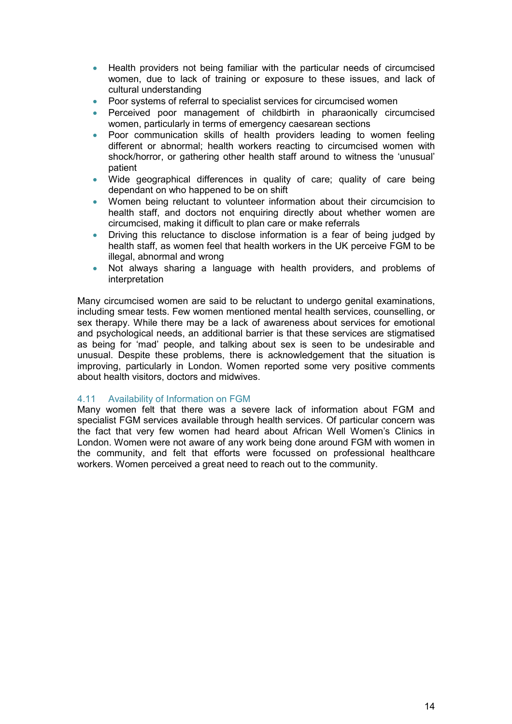- Health providers not being familiar with the particular needs of circumcised women, due to lack of training or exposure to these issues, and lack of cultural understanding
- Poor systems of referral to specialist services for circumcised women
- Perceived poor management of childbirth in pharaonically circumcised women, particularly in terms of emergency caesarean sections
- Poor communication skills of health providers leading to women feeling different or abnormal; health workers reacting to circumcised women with shock/horror, or gathering other health staff around to witness the 'unusual' patient
- Wide geographical differences in quality of care; quality of care being dependant on who happened to be on shift
- Women being reluctant to volunteer information about their circumcision to health staff, and doctors not enquiring directly about whether women are circumcised, making it difficult to plan care or make referrals
- Driving this reluctance to disclose information is a fear of being judged by health staff, as women feel that health workers in the UK perceive FGM to be illegal, abnormal and wrong
- Not always sharing a language with health providers, and problems of interpretation

Many circumcised women are said to be reluctant to undergo genital examinations, including smear tests. Few women mentioned mental health services, counselling, or sex therapy. While there may be a lack of awareness about services for emotional and psychological needs, an additional barrier is that these services are stigmatised as being for 'mad' people, and talking about sex is seen to be undesirable and unusual. Despite these problems, there is acknowledgement that the situation is improving, particularly in London. Women reported some very positive comments about health visitors, doctors and midwives.

## 4.11 Availability of Information on FGM

Many women felt that there was a severe lack of information about FGM and specialist FGM services available through health services. Of particular concern was the fact that very few women had heard about African Well Women's Clinics in London. Women were not aware of any work being done around FGM with women in the community, and felt that efforts were focussed on professional healthcare workers. Women perceived a great need to reach out to the community.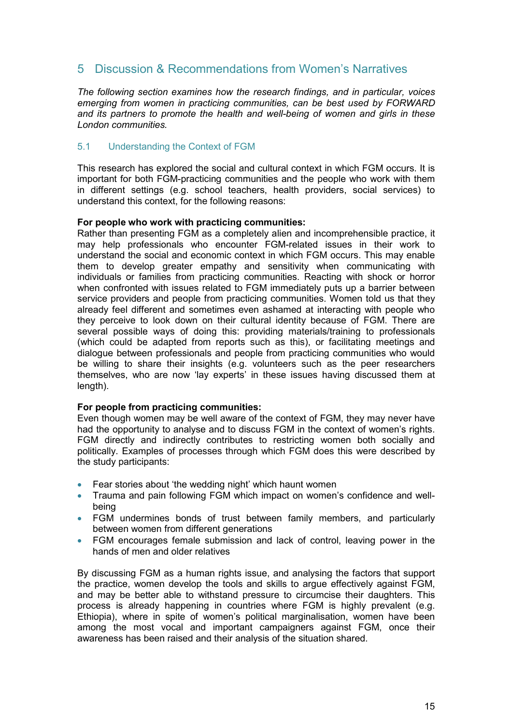# <span id="page-14-0"></span>5 Discussion & Recommendations from Women's Narratives

*The following section examines how the research findings, and in particular, voices emerging from women in practicing communities, can be best used by FORWARD and its partners to promote the health and well-being of women and girls in these London communities.* 

# 5.1 Understanding the Context of FGM

This research has explored the social and cultural context in which FGM occurs. It is important for both FGM-practicing communities and the people who work with them in different settings (e.g. school teachers, health providers, social services) to understand this context, for the following reasons:

#### **For people who work with practicing communities:**

Rather than presenting FGM as a completely alien and incomprehensible practice, it may help professionals who encounter FGM-related issues in their work to understand the social and economic context in which FGM occurs. This may enable them to develop greater empathy and sensitivity when communicating with individuals or families from practicing communities. Reacting with shock or horror when confronted with issues related to FGM immediately puts up a barrier between service providers and people from practicing communities. Women told us that they already feel different and sometimes even ashamed at interacting with people who they perceive to look down on their cultural identity because of FGM. There are several possible ways of doing this: providing materials/training to professionals (which could be adapted from reports such as this), or facilitating meetings and dialogue between professionals and people from practicing communities who would be willing to share their insights (e.g. volunteers such as the peer researchers themselves, who are now 'lay experts' in these issues having discussed them at length).

## **For people from practicing communities:**

Even though women may be well aware of the context of FGM, they may never have had the opportunity to analyse and to discuss FGM in the context of women's rights. FGM directly and indirectly contributes to restricting women both socially and politically. Examples of processes through which FGM does this were described by the study participants:

- Fear stories about 'the wedding night' which haunt women
- Trauma and pain following FGM which impact on women's confidence and wellbeing
- FGM undermines bonds of trust between family members, and particularly between women from different generations
- FGM encourages female submission and lack of control, leaving power in the hands of men and older relatives

By discussing FGM as a human rights issue, and analysing the factors that support the practice, women develop the tools and skills to argue effectively against FGM, and may be better able to withstand pressure to circumcise their daughters. This process is already happening in countries where FGM is highly prevalent (e.g. Ethiopia), where in spite of women's political marginalisation, women have been among the most vocal and important campaigners against FGM, once their awareness has been raised and their analysis of the situation shared.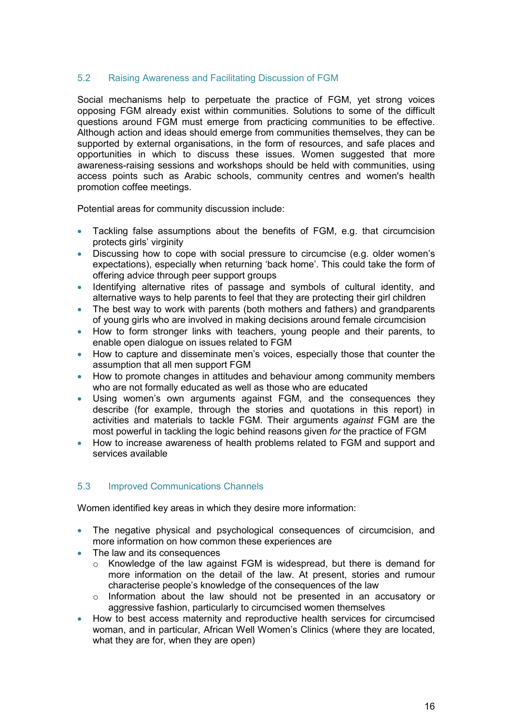# <span id="page-15-0"></span>5.2 Raising Awareness and Facilitating Discussion of FGM

Social mechanisms help to perpetuate the practice of FGM, yet strong voices opposing FGM already exist within communities. Solutions to some of the difficult questions around FGM must emerge from practicing communities to be effective. Although action and ideas should emerge from communities themselves, they can be supported by external organisations, in the form of resources, and safe places and opportunities in which to discuss these issues. Women suggested that more awareness-raising sessions and workshops should be held with communities, using access points such as Arabic schools, community centres and women's health promotion coffee meetings.

Potential areas for community discussion include:

- Tackling false assumptions about the benefits of FGM, e.g. that circumcision protects girls' virginity
- Discussing how to cope with social pressure to circumcise (e.g. older women's expectations), especially when returning 'back home'. This could take the form of offering advice through peer support groups
- Identifying alternative rites of passage and symbols of cultural identity, and alternative ways to help parents to feel that they are protecting their girl children
- The best way to work with parents (both mothers and fathers) and grandparents of young girls who are involved in making decisions around female circumcision
- How to form stronger links with teachers, young people and their parents, to enable open dialogue on issues related to FGM
- How to capture and disseminate men's voices, especially those that counter the assumption that all men support FGM
- How to promote changes in attitudes and behaviour among community members who are not formally educated as well as those who are educated
- Using women's own arguments against FGM, and the consequences they describe (for example, through the stories and quotations in this report) in activities and materials to tackle FGM. Their arguments *against* FGM are the most powerful in tackling the logic behind reasons given *for* the practice of FGM
- How to increase awareness of health problems related to FGM and support and services available

## 5.3 Improved Communications Channels

Women identified key areas in which they desire more information:

- The negative physical and psychological consequences of circumcision, and more information on how common these experiences are
- The law and its consequences
	- $\circ$  Knowledge of the law against FGM is widespread, but there is demand for more information on the detail of the law. At present, stories and rumour characterise people's knowledge of the consequences of the law
	- o Information about the law should not be presented in an accusatory or aggressive fashion, particularly to circumcised women themselves
- How to best access maternity and reproductive health services for circumcised woman, and in particular, African Well Women's Clinics (where they are located, what they are for, when they are open)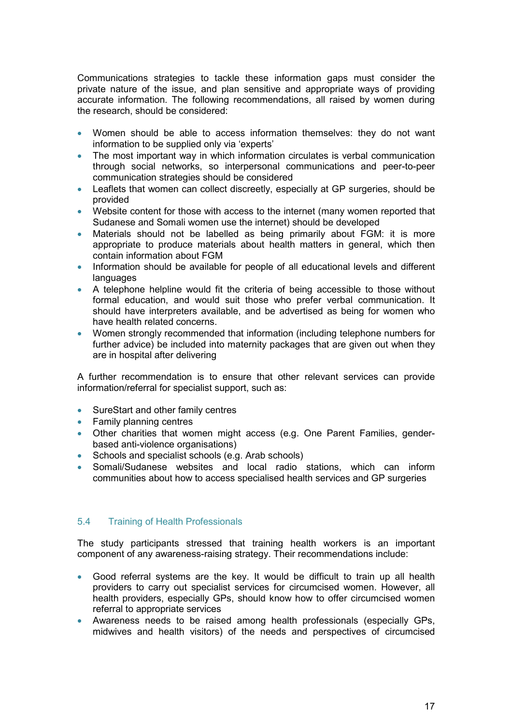<span id="page-16-0"></span>Communications strategies to tackle these information gaps must consider the private nature of the issue, and plan sensitive and appropriate ways of providing accurate information. The following recommendations, all raised by women during the research, should be considered:

- Women should be able to access information themselves: they do not want information to be supplied only via 'experts'
- The most important way in which information circulates is verbal communication through social networks, so interpersonal communications and peer-to-peer communication strategies should be considered
- Leaflets that women can collect discreetly, especially at GP surgeries, should be provided
- Website content for those with access to the internet (many women reported that Sudanese and Somali women use the internet) should be developed
- Materials should not be labelled as being primarily about FGM: it is more appropriate to produce materials about health matters in general, which then contain information about FGM
- Information should be available for people of all educational levels and different languages
- A telephone helpline would fit the criteria of being accessible to those without formal education, and would suit those who prefer verbal communication. It should have interpreters available, and be advertised as being for women who have health related concerns.
- Women strongly recommended that information (including telephone numbers for further advice) be included into maternity packages that are given out when they are in hospital after delivering

A further recommendation is to ensure that other relevant services can provide information/referral for specialist support, such as:

- SureStart and other family centres
- Family planning centres
- Other charities that women might access (e.g. One Parent Families, genderbased anti-violence organisations)
- Schools and specialist schools (e.g. Arab schools)
- Somali/Sudanese websites and local radio stations, which can inform communities about how to access specialised health services and GP surgeries

# 5.4 Training of Health Professionals

The study participants stressed that training health workers is an important component of any awareness-raising strategy. Their recommendations include:

- Good referral systems are the key. It would be difficult to train up all health providers to carry out specialist services for circumcised women. However, all health providers, especially GPs, should know how to offer circumcised women referral to appropriate services
- Awareness needs to be raised among health professionals (especially GPs, midwives and health visitors) of the needs and perspectives of circumcised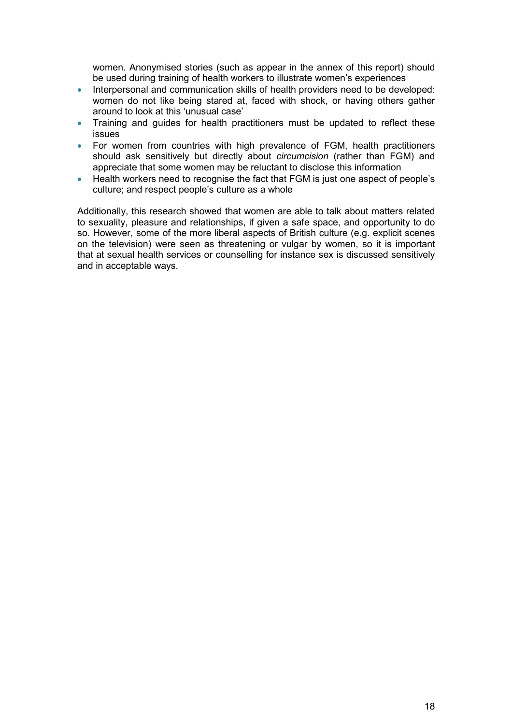women. Anonymised stories (such as appear in the annex of this report) should be used during training of health workers to illustrate women's experiences

- Interpersonal and communication skills of health providers need to be developed: women do not like being stared at, faced with shock, or having others gather around to look at this 'unusual case'
- Training and guides for health practitioners must be updated to reflect these issues
- For women from countries with high prevalence of FGM, health practitioners should ask sensitively but directly about *circumcision* (rather than FGM) and appreciate that some women may be reluctant to disclose this information
- Health workers need to recognise the fact that FGM is just one aspect of people's culture; and respect people's culture as a whole

Additionally, this research showed that women are able to talk about matters related to sexuality, pleasure and relationships, if given a safe space, and opportunity to do so. However, some of the more liberal aspects of British culture (e.g. explicit scenes on the television) were seen as threatening or vulgar by women, so it is important that at sexual health services or counselling for instance sex is discussed sensitively and in acceptable ways.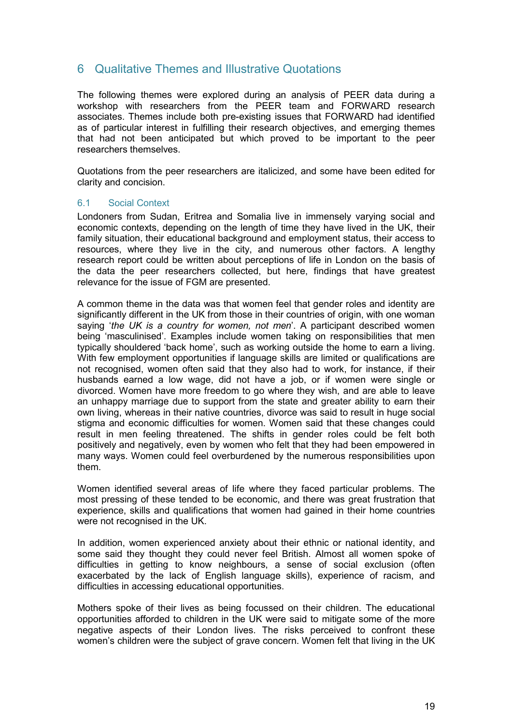# <span id="page-18-0"></span>6 Qualitative Themes and Illustrative Quotations

The following themes were explored during an analysis of PEER data during a workshop with researchers from the PEER team and FORWARD research associates. Themes include both pre-existing issues that FORWARD had identified as of particular interest in fulfilling their research objectives, and emerging themes that had not been anticipated but which proved to be important to the peer researchers themselves.

Quotations from the peer researchers are italicized, and some have been edited for clarity and concision.

## 6.1 Social Context

Londoners from Sudan, Eritrea and Somalia live in immensely varying social and economic contexts, depending on the length of time they have lived in the UK, their family situation, their educational background and employment status, their access to resources, where they live in the city, and numerous other factors. A lengthy research report could be written about perceptions of life in London on the basis of the data the peer researchers collected, but here, findings that have greatest relevance for the issue of FGM are presented.

A common theme in the data was that women feel that gender roles and identity are significantly different in the UK from those in their countries of origin, with one woman saying '*the UK is a country for women, not men*'. A participant described women being 'masculinised'. Examples include women taking on responsibilities that men typically shouldered 'back home', such as working outside the home to earn a living. With few employment opportunities if language skills are limited or qualifications are not recognised, women often said that they also had to work, for instance, if their husbands earned a low wage, did not have a job, or if women were single or divorced. Women have more freedom to go where they wish, and are able to leave an unhappy marriage due to support from the state and greater ability to earn their own living, whereas in their native countries, divorce was said to result in huge social stigma and economic difficulties for women. Women said that these changes could result in men feeling threatened. The shifts in gender roles could be felt both positively and negatively, even by women who felt that they had been empowered in many ways. Women could feel overburdened by the numerous responsibilities upon them.

Women identified several areas of life where they faced particular problems. The most pressing of these tended to be economic, and there was great frustration that experience, skills and qualifications that women had gained in their home countries were not recognised in the UK.

In addition, women experienced anxiety about their ethnic or national identity, and some said they thought they could never feel British. Almost all women spoke of difficulties in getting to know neighbours, a sense of social exclusion (often exacerbated by the lack of English language skills), experience of racism, and difficulties in accessing educational opportunities.

Mothers spoke of their lives as being focussed on their children. The educational opportunities afforded to children in the UK were said to mitigate some of the more negative aspects of their London lives. The risks perceived to confront these women's children were the subject of grave concern. Women felt that living in the UK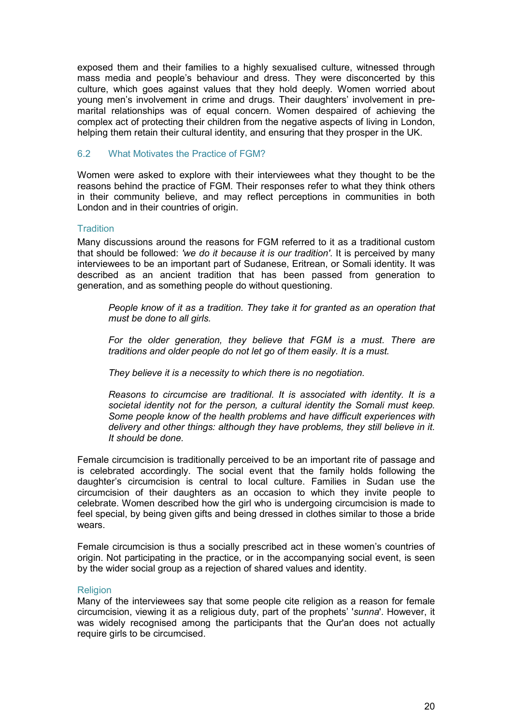<span id="page-19-0"></span>exposed them and their families to a highly sexualised culture, witnessed through mass media and people's behaviour and dress. They were disconcerted by this culture, which goes against values that they hold deeply. Women worried about young men's involvement in crime and drugs. Their daughters' involvement in premarital relationships was of equal concern. Women despaired of achieving the complex act of protecting their children from the negative aspects of living in London, helping them retain their cultural identity, and ensuring that they prosper in the UK.

#### 6.2 What Motivates the Practice of FGM?

Women were asked to explore with their interviewees what they thought to be the reasons behind the practice of FGM. Their responses refer to what they think others in their community believe, and may reflect perceptions in communities in both London and in their countries of origin.

#### **Tradition**

Many discussions around the reasons for FGM referred to it as a traditional custom that should be followed: *'we do it because it is our tradition'*. It is perceived by many interviewees to be an important part of Sudanese, Eritrean, or Somali identity. It was described as an ancient tradition that has been passed from generation to generation, and as something people do without questioning.

*People know of it as a tradition. They take it for granted as an operation that must be done to all girls.* 

*For the older generation, they believe that FGM is a must. There are traditions and older people do not let go of them easily. It is a must.* 

*They believe it is a necessity to which there is no negotiation.* 

*Reasons to circumcise are traditional. It is associated with identity. It is a societal identity not for the person, a cultural identity the Somali must keep. Some people know of the health problems and have difficult experiences with delivery and other things: although they have problems, they still believe in it. It should be done.* 

Female circumcision is traditionally perceived to be an important rite of passage and is celebrated accordingly. The social event that the family holds following the daughter's circumcision is central to local culture. Families in Sudan use the circumcision of their daughters as an occasion to which they invite people to celebrate. Women described how the girl who is undergoing circumcision is made to feel special, by being given gifts and being dressed in clothes similar to those a bride wears.

Female circumcision is thus a socially prescribed act in these women's countries of origin. Not participating in the practice, or in the accompanying social event, is seen by the wider social group as a rejection of shared values and identity.

#### **Religion**

Many of the interviewees say that some people cite religion as a reason for female circumcision, viewing it as a religious duty, part of the prophets' '*sunna*'. However, it was widely recognised among the participants that the Qur'an does not actually require girls to be circumcised.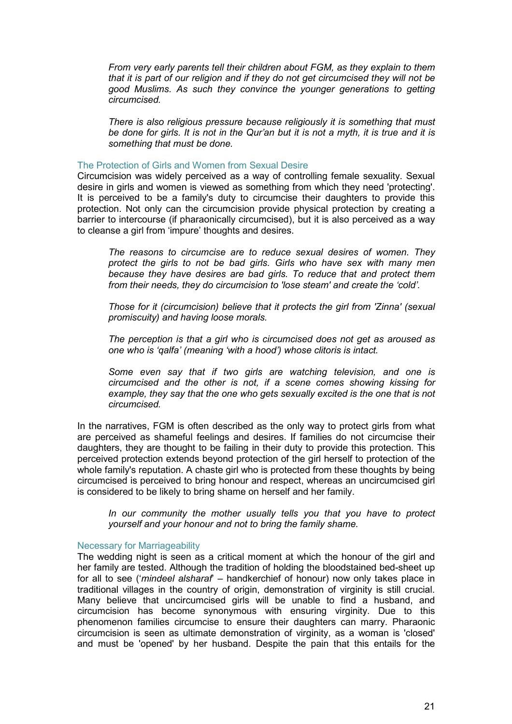*From very early parents tell their children about FGM, as they explain to them that it is part of our religion and if they do not get circumcised they will not be good Muslims. As such they convince the younger generations to getting circumcised.* 

*There is also religious pressure because religiously it is something that must be done for girls. It is not in the Qur'an but it is not a myth, it is true and it is something that must be done.* 

#### The Protection of Girls and Women from Sexual Desire

Circumcision was widely perceived as a way of controlling female sexuality. Sexual desire in girls and women is viewed as something from which they need 'protecting'. It is perceived to be a family's duty to circumcise their daughters to provide this protection. Not only can the circumcision provide physical protection by creating a barrier to intercourse (if pharaonically circumcised), but it is also perceived as a way to cleanse a girl from 'impure' thoughts and desires.

*The reasons to circumcise are to reduce sexual desires of women. They protect the girls to not be bad girls. Girls who have sex with many men because they have desires are bad girls. To reduce that and protect them from their needs, they do circumcision to 'lose steam' and create the 'cold'.* 

*Those for it (circumcision) believe that it protects the girl from 'Zinna' (sexual promiscuity) and having loose morals.* 

*The perception is that a girl who is circumcised does not get as aroused as one who is 'qalfa' (meaning 'with a hood') whose clitoris is intact.* 

*Some even say that if two girls are watching television, and one is circumcised and the other is not, if a scene comes showing kissing for example, they say that the one who gets sexually excited is the one that is not circumcised.* 

In the narratives, FGM is often described as the only way to protect girls from what are perceived as shameful feelings and desires. If families do not circumcise their daughters, they are thought to be failing in their duty to provide this protection. This perceived protection extends beyond protection of the girl herself to protection of the whole family's reputation. A chaste girl who is protected from these thoughts by being circumcised is perceived to bring honour and respect, whereas an uncircumcised girl is considered to be likely to bring shame on herself and her family.

*In our community the mother usually tells you that you have to protect yourself and your honour and not to bring the family shame.* 

#### Necessary for Marriageability

The wedding night is seen as a critical moment at which the honour of the girl and her family are tested. Although the tradition of holding the bloodstained bed-sheet up for all to see ('*mindeel alsharaf*' – handkerchief of honour) now only takes place in traditional villages in the country of origin, demonstration of virginity is still crucial. Many believe that uncircumcised girls will be unable to find a husband, and circumcision has become synonymous with ensuring virginity. Due to this phenomenon families circumcise to ensure their daughters can marry. Pharaonic circumcision is seen as ultimate demonstration of virginity, as a woman is 'closed' and must be 'opened' by her husband. Despite the pain that this entails for the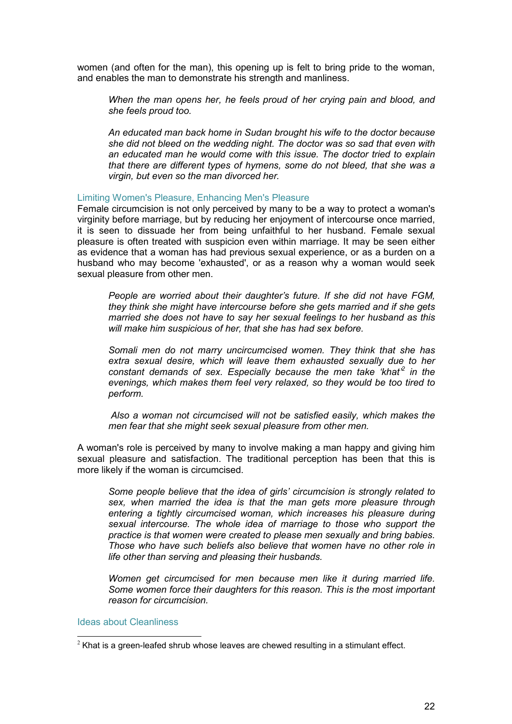women (and often for the man), this opening up is felt to bring pride to the woman, and enables the man to demonstrate his strength and manliness.

*When the man opens her, he feels proud of her crying pain and blood, and she feels proud too.* 

*An educated man back home in Sudan brought his wife to the doctor because she did not bleed on the wedding night. The doctor was so sad that even with an educated man he would come with this issue. The doctor tried to explain that there are different types of hymens, some do not bleed, that she was a virgin, but even so the man divorced her.*

#### Limiting Women's Pleasure, Enhancing Men's Pleasure

Female circumcision is not only perceived by many to be a way to protect a woman's virginity before marriage, but by reducing her enjoyment of intercourse once married, it is seen to dissuade her from being unfaithful to her husband. Female sexual pleasure is often treated with suspicion even within marriage. It may be seen either as evidence that a woman has had previous sexual experience, or as a burden on a husband who may become 'exhausted', or as a reason why a woman would seek sexual pleasure from other men.

*People are worried about their daughter's future. If she did not have FGM, they think she might have intercourse before she gets married and if she gets married she does not have to say her sexual feelings to her husband as this will make him suspicious of her, that she has had sex before.* 

*Somali men do not marry uncircumcised women. They think that she has extra sexual desire, which will leave them exhausted sexually due to her constant demands of sex. Especially because the men take 'khat'<sup>2</sup> in the evenings, which makes them feel very relaxed, so they would be too tired to perform.* 

 *Also a woman not circumcised will not be satisfied easily, which makes the men fear that she might seek sexual pleasure from other men.* 

A woman's role is perceived by many to involve making a man happy and giving him sexual pleasure and satisfaction. The traditional perception has been that this is more likely if the woman is circumcised.

*Some people believe that the idea of girls' circumcision is strongly related to sex, when married the idea is that the man gets more pleasure through entering a tightly circumcised woman, which increases his pleasure during sexual intercourse. The whole idea of marriage to those who support the practice is that women were created to please men sexually and bring babies. Those who have such beliefs also believe that women have no other role in life other than serving and pleasing their husbands.* 

*Women get circumcised for men because men like it during married life. Some women force their daughters for this reason. This is the most important reason for circumcision.* 

Ideas about Cleanliness

j

 $^2$  Khat is a green-leafed shrub whose leaves are chewed resulting in a stimulant effect.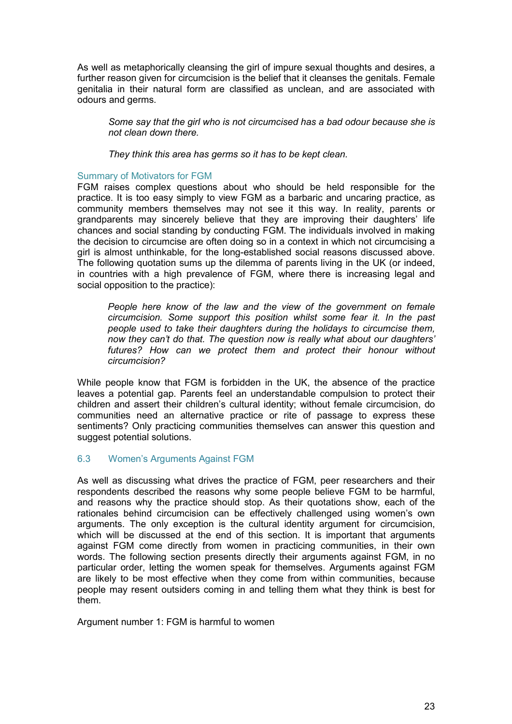<span id="page-22-0"></span>As well as metaphorically cleansing the girl of impure sexual thoughts and desires, a further reason given for circumcision is the belief that it cleanses the genitals. Female genitalia in their natural form are classified as unclean, and are associated with odours and germs.

*Some say that the girl who is not circumcised has a bad odour because she is not clean down there.* 

*They think this area has germs so it has to be kept clean.* 

#### Summary of Motivators for FGM

FGM raises complex questions about who should be held responsible for the practice. It is too easy simply to view FGM as a barbaric and uncaring practice, as community members themselves may not see it this way. In reality, parents or grandparents may sincerely believe that they are improving their daughters' life chances and social standing by conducting FGM. The individuals involved in making the decision to circumcise are often doing so in a context in which not circumcising a girl is almost unthinkable, for the long-established social reasons discussed above. The following quotation sums up the dilemma of parents living in the UK (or indeed, in countries with a high prevalence of FGM, where there is increasing legal and social opposition to the practice):

*People here know of the law and the view of the government on female circumcision. Some support this position whilst some fear it. In the past people used to take their daughters during the holidays to circumcise them, now they can't do that. The question now is really what about our daughters' futures? How can we protect them and protect their honour without circumcision?* 

While people know that FGM is forbidden in the UK, the absence of the practice leaves a potential gap. Parents feel an understandable compulsion to protect their children and assert their children's cultural identity; without female circumcision, do communities need an alternative practice or rite of passage to express these sentiments? Only practicing communities themselves can answer this question and suggest potential solutions.

## 6.3 Women's Arguments Against FGM

As well as discussing what drives the practice of FGM, peer researchers and their respondents described the reasons why some people believe FGM to be harmful, and reasons why the practice should stop. As their quotations show, each of the rationales behind circumcision can be effectively challenged using women's own arguments. The only exception is the cultural identity argument for circumcision, which will be discussed at the end of this section. It is important that arguments against FGM come directly from women in practicing communities, in their own words. The following section presents directly their arguments against FGM, in no particular order, letting the women speak for themselves. Arguments against FGM are likely to be most effective when they come from within communities, because people may resent outsiders coming in and telling them what they think is best for them.

Argument number 1: FGM is harmful to women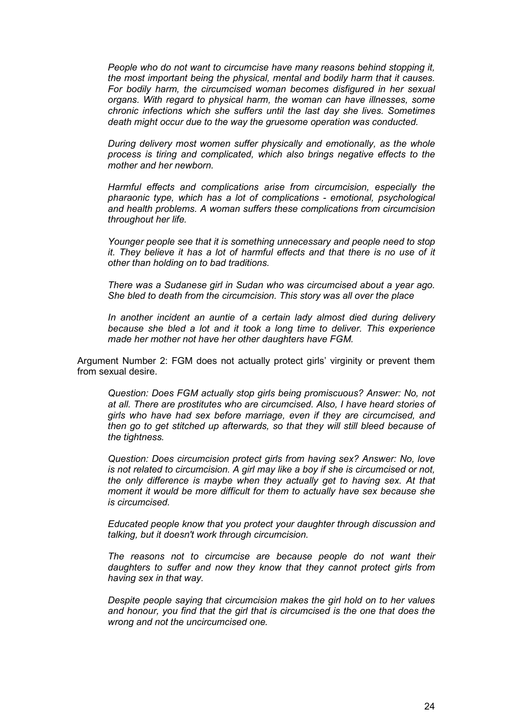*People who do not want to circumcise have many reasons behind stopping it, the most important being the physical, mental and bodily harm that it causes. For bodily harm, the circumcised woman becomes disfigured in her sexual organs. With regard to physical harm, the woman can have illnesses, some chronic infections which she suffers until the last day she lives. Sometimes death might occur due to the way the gruesome operation was conducted.* 

*During delivery most women suffer physically and emotionally, as the whole process is tiring and complicated, which also brings negative effects to the mother and her newborn.* 

*Harmful effects and complications arise from circumcision, especially the pharaonic type, which has a lot of complications - emotional, psychological and health problems. A woman suffers these complications from circumcision throughout her life.* 

*Younger people see that it is something unnecessary and people need to stop it. They believe it has a lot of harmful effects and that there is no use of it other than holding on to bad traditions.* 

*There was a Sudanese girl in Sudan who was circumcised about a year ago. She bled to death from the circumcision. This story was all over the place* 

*In another incident an auntie of a certain lady almost died during delivery because she bled a lot and it took a long time to deliver. This experience made her mother not have her other daughters have FGM.*

Argument Number 2: FGM does not actually protect girls' virginity or prevent them from sexual desire.

*Question: Does FGM actually stop girls being promiscuous? Answer: No, not at all. There are prostitutes who are circumcised. Also, I have heard stories of girls who have had sex before marriage, even if they are circumcised, and then go to get stitched up afterwards, so that they will still bleed because of the tightness.* 

*Question: Does circumcision protect girls from having sex? Answer: No, love is not related to circumcision. A girl may like a boy if she is circumcised or not, the only difference is maybe when they actually get to having sex. At that moment it would be more difficult for them to actually have sex because she is circumcised.* 

*Educated people know that you protect your daughter through discussion and talking, but it doesn't work through circumcision.* 

*The reasons not to circumcise are because people do not want their daughters to suffer and now they know that they cannot protect girls from having sex in that way.* 

*Despite people saying that circumcision makes the girl hold on to her values and honour, you find that the girl that is circumcised is the one that does the wrong and not the uncircumcised one.*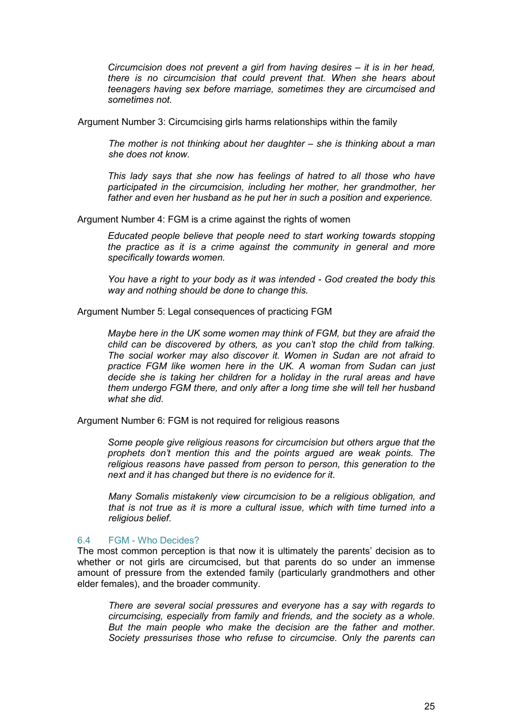<span id="page-24-0"></span>*Circumcision does not prevent a girl from having desires – it is in her head, there is no circumcision that could prevent that. When she hears about teenagers having sex before marriage, sometimes they are circumcised and sometimes not.* 

Argument Number 3: Circumcising girls harms relationships within the family

*The mother is not thinking about her daughter – she is thinking about a man she does not know.* 

*This lady says that she now has feelings of hatred to all those who have participated in the circumcision, including her mother, her grandmother, her father and even her husband as he put her in such a position and experience.* 

Argument Number 4: FGM is a crime against the rights of women

*Educated people believe that people need to start working towards stopping the practice as it is a crime against the community in general and more specifically towards women.* 

*You have a right to your body as it was intended - God created the body this way and nothing should be done to change this.* 

Argument Number 5: Legal consequences of practicing FGM

*Maybe here in the UK some women may think of FGM, but they are afraid the child can be discovered by others, as you can't stop the child from talking. The social worker may also discover it. Women in Sudan are not afraid to practice FGM like women here in the UK. A woman from Sudan can just decide she is taking her children for a holiday in the rural areas and have them undergo FGM there, and only after a long time she will tell her husband what she did.* 

Argument Number 6: FGM is not required for religious reasons

*Some people give religious reasons for circumcision but others argue that the prophets don't mention this and the points argued are weak points. The religious reasons have passed from person to person, this generation to the next and it has changed but there is no evidence for it.*

*Many Somalis mistakenly view circumcision to be a religious obligation, and that is not true as it is more a cultural issue, which with time turned into a religious belief.* 

#### 6.4 FGM - Who Decides?

The most common perception is that now it is ultimately the parents' decision as to whether or not girls are circumcised, but that parents do so under an immense amount of pressure from the extended family (particularly grandmothers and other elder females), and the broader community.

*There are several social pressures and everyone has a say with regards to circumcising, especially from family and friends, and the society as a whole. But the main people who make the decision are the father and mother. Society pressurises those who refuse to circumcise. Only the parents can*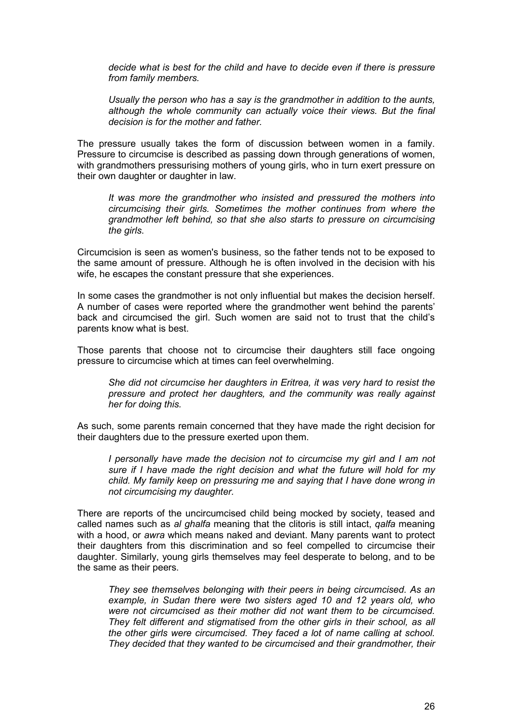*decide what is best for the child and have to decide even if there is pressure from family members.* 

*Usually the person who has a say is the grandmother in addition to the aunts, although the whole community can actually voice their views. But the final decision is for the mother and father.* 

The pressure usually takes the form of discussion between women in a family. Pressure to circumcise is described as passing down through generations of women, with grandmothers pressurising mothers of young girls, who in turn exert pressure on their own daughter or daughter in law.

*It was more the grandmother who insisted and pressured the mothers into circumcising their girls. Sometimes the mother continues from where the grandmother left behind, so that she also starts to pressure on circumcising the girls*.

Circumcision is seen as women's business, so the father tends not to be exposed to the same amount of pressure. Although he is often involved in the decision with his wife, he escapes the constant pressure that she experiences.

In some cases the grandmother is not only influential but makes the decision herself. A number of cases were reported where the grandmother went behind the parents' back and circumcised the girl. Such women are said not to trust that the child's parents know what is best.

Those parents that choose not to circumcise their daughters still face ongoing pressure to circumcise which at times can feel overwhelming.

*She did not circumcise her daughters in Eritrea, it was very hard to resist the pressure and protect her daughters, and the community was really against her for doing this.* 

As such, some parents remain concerned that they have made the right decision for their daughters due to the pressure exerted upon them.

*I personally have made the decision not to circumcise my girl and I am not sure if I have made the right decision and what the future will hold for my child. My family keep on pressuring me and saying that I have done wrong in not circumcising my daughter.* 

There are reports of the uncircumcised child being mocked by society, teased and called names such as *al ghalfa* meaning that the clitoris is still intact, *qalfa* meaning with a hood, or *awra* which means naked and deviant. Many parents want to protect their daughters from this discrimination and so feel compelled to circumcise their daughter. Similarly, young girls themselves may feel desperate to belong, and to be the same as their peers.

*They see themselves belonging with their peers in being circumcised. As an example, in Sudan there were two sisters aged 10 and 12 years old, who were not circumcised as their mother did not want them to be circumcised. They felt different and stigmatised from the other girls in their school, as all the other girls were circumcised. They faced a lot of name calling at school. They decided that they wanted to be circumcised and their grandmother, their*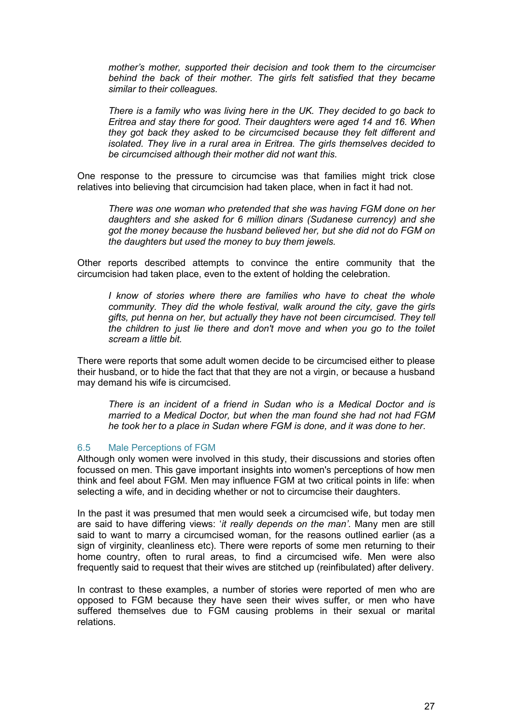<span id="page-26-0"></span>*mother's mother, supported their decision and took them to the circumciser behind the back of their mother. The girls felt satisfied that they became similar to their colleagues.* 

*There is a family who was living here in the UK. They decided to go back to Eritrea and stay there for good. Their daughters were aged 14 and 16. When they got back they asked to be circumcised because they felt different and isolated. They live in a rural area in Eritrea. The girls themselves decided to be circumcised although their mother did not want this.* 

One response to the pressure to circumcise was that families might trick close relatives into believing that circumcision had taken place, when in fact it had not.

*There was one woman who pretended that she was having FGM done on her daughters and she asked for 6 million dinars (Sudanese currency) and she got the money because the husband believed her, but she did not do FGM on the daughters but used the money to buy them jewels.* 

Other reports described attempts to convince the entire community that the circumcision had taken place, even to the extent of holding the celebration.

*I know of stories where there are families who have to cheat the whole community. They did the whole festival, walk around the city, gave the girls gifts, put henna on her, but actually they have not been circumcised. They tell the children to just lie there and don't move and when you go to the toilet scream a little bit.* 

There were reports that some adult women decide to be circumcised either to please their husband, or to hide the fact that that they are not a virgin, or because a husband may demand his wife is circumcised.

*There is an incident of a friend in Sudan who is a Medical Doctor and is married to a Medical Doctor, but when the man found she had not had FGM he took her to a place in Sudan where FGM is done, and it was done to her*.

#### 6.5 Male Perceptions of FGM

Although only women were involved in this study, their discussions and stories often focussed on men. This gave important insights into women's perceptions of how men think and feel about FGM. Men may influence FGM at two critical points in life: when selecting a wife, and in deciding whether or not to circumcise their daughters.

In the past it was presumed that men would seek a circumcised wife, but today men are said to have differing views: '*it really depends on the man'*. Many men are still said to want to marry a circumcised woman, for the reasons outlined earlier (as a sign of virginity, cleanliness etc). There were reports of some men returning to their home country, often to rural areas, to find a circumcised wife. Men were also frequently said to request that their wives are stitched up (reinfibulated) after delivery.

In contrast to these examples, a number of stories were reported of men who are opposed to FGM because they have seen their wives suffer, or men who have suffered themselves due to FGM causing problems in their sexual or marital relations.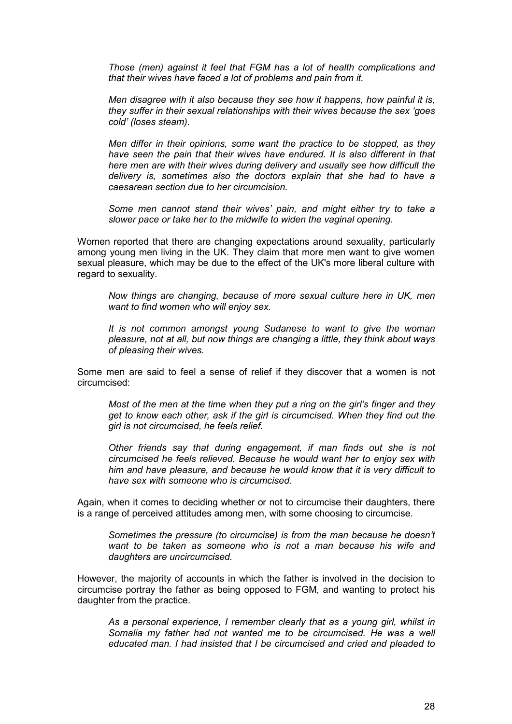*Those (men) against it feel that FGM has a lot of health complications and that their wives have faced a lot of problems and pain from it.* 

*Men disagree with it also because they see how it happens, how painful it is, they suffer in their sexual relationships with their wives because the sex 'goes cold' (loses steam).* 

*Men differ in their opinions, some want the practice to be stopped, as they have seen the pain that their wives have endured. It is also different in that here men are with their wives during delivery and usually see how difficult the delivery is, sometimes also the doctors explain that she had to have a caesarean section due to her circumcision.* 

*Some men cannot stand their wives' pain, and might either try to take a slower pace or take her to the midwife to widen the vaginal opening.* 

Women reported that there are changing expectations around sexuality, particularly among young men living in the UK. They claim that more men want to give women sexual pleasure, which may be due to the effect of the UK's more liberal culture with regard to sexuality.

*Now things are changing, because of more sexual culture here in UK, men want to find women who will enjoy sex.* 

*It is not common amongst young Sudanese to want to give the woman pleasure, not at all, but now things are changing a little, they think about ways of pleasing their wives.* 

Some men are said to feel a sense of relief if they discover that a women is not circumcised:

*Most of the men at the time when they put a ring on the girl's finger and they get to know each other, ask if the girl is circumcised. When they find out the girl is not circumcised, he feels relief.* 

*Other friends say that during engagement, if man finds out she is not circumcised he feels relieved. Because he would want her to enjoy sex with him and have pleasure, and because he would know that it is very difficult to have sex with someone who is circumcised.* 

Again, when it comes to deciding whether or not to circumcise their daughters, there is a range of perceived attitudes among men, with some choosing to circumcise.

*Sometimes the pressure (to circumcise) is from the man because he doesn't want to be taken as someone who is not a man because his wife and daughters are uncircumcised.* 

However, the majority of accounts in which the father is involved in the decision to circumcise portray the father as being opposed to FGM, and wanting to protect his daughter from the practice.

*As a personal experience, I remember clearly that as a young girl, whilst in Somalia my father had not wanted me to be circumcised. He was a well educated man. I had insisted that I be circumcised and cried and pleaded to*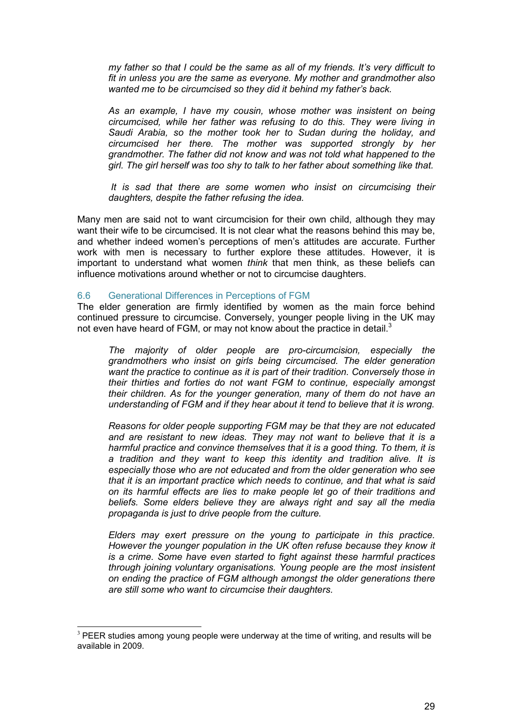<span id="page-28-0"></span>*my father so that I could be the same as all of my friends. It's very difficult to fit in unless you are the same as everyone. My mother and grandmother also wanted me to be circumcised so they did it behind my father's back.* 

*As an example, I have my cousin, whose mother was insistent on being circumcised, while her father was refusing to do this. They were living in Saudi Arabia, so the mother took her to Sudan during the holiday, and circumcised her there. The mother was supported strongly by her grandmother. The father did not know and was not told what happened to the girl. The girl herself was too shy to talk to her father about something like that.* 

 *It is sad that there are some women who insist on circumcising their daughters, despite the father refusing the idea.* 

Many men are said not to want circumcision for their own child, although they may want their wife to be circumcised. It is not clear what the reasons behind this may be, and whether indeed women's perceptions of men's attitudes are accurate. Further work with men is necessary to further explore these attitudes. However, it is important to understand what women *think* that men think, as these beliefs can influence motivations around whether or not to circumcise daughters.

#### 6.6 Generational Differences in Perceptions of FGM

The elder generation are firmly identified by women as the main force behind continued pressure to circumcise. Conversely, younger people living in the UK may not even have heard of FGM, or may not know about the practice in detail. $3$ 

*The majority of older people are pro-circumcision, especially the grandmothers who insist on girls being circumcised. The elder generation want the practice to continue as it is part of their tradition. Conversely those in their thirties and forties do not want FGM to continue, especially amongst their children. As for the younger generation, many of them do not have an understanding of FGM and if they hear about it tend to believe that it is wrong.* 

*Reasons for older people supporting FGM may be that they are not educated and are resistant to new ideas. They may not want to believe that it is a harmful practice and convince themselves that it is a good thing. To them, it is a tradition and they want to keep this identity and tradition alive. It is especially those who are not educated and from the older generation who see that it is an important practice which needs to continue, and that what is said on its harmful effects are lies to make people let go of their traditions and beliefs. Some elders believe they are always right and say all the media propaganda is just to drive people from the culture.*

*Elders may exert pressure on the young to participate in this practice. However the younger population in the UK often refuse because they know it is a crime. Some have even started to fight against these harmful practices through joining voluntary organisations. Young people are the most insistent on ending the practice of FGM although amongst the older generations there are still some who want to circumcise their daughters.*

-

 $3$  PEER studies among young people were underway at the time of writing, and results will be available in 2009.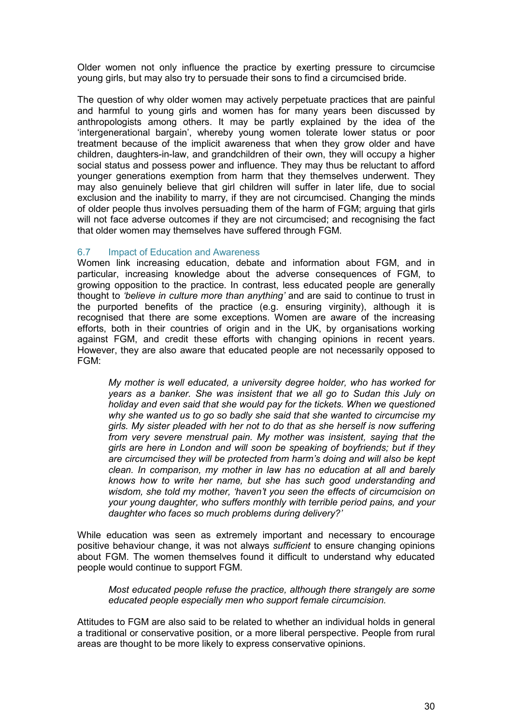<span id="page-29-0"></span>Older women not only influence the practice by exerting pressure to circumcise young girls, but may also try to persuade their sons to find a circumcised bride.

The question of why older women may actively perpetuate practices that are painful and harmful to young girls and women has for many years been discussed by anthropologists among others. It may be partly explained by the idea of the 'intergenerational bargain', whereby young women tolerate lower status or poor treatment because of the implicit awareness that when they grow older and have children, daughters-in-law, and grandchildren of their own, they will occupy a higher social status and possess power and influence. They may thus be reluctant to afford younger generations exemption from harm that they themselves underwent. They may also genuinely believe that girl children will suffer in later life, due to social exclusion and the inability to marry, if they are not circumcised. Changing the minds of older people thus involves persuading them of the harm of FGM; arguing that girls will not face adverse outcomes if they are not circumcised; and recognising the fact that older women may themselves have suffered through FGM.

## 6.7 Impact of Education and Awareness

Women link increasing education, debate and information about FGM, and in particular, increasing knowledge about the adverse consequences of FGM, to growing opposition to the practice. In contrast, less educated people are generally thought to *'believe in culture more than anything'* and are said to continue to trust in the purported benefits of the practice (e.g. ensuring virginity), although it is recognised that there are some exceptions. Women are aware of the increasing efforts, both in their countries of origin and in the UK, by organisations working against FGM, and credit these efforts with changing opinions in recent years. However, they are also aware that educated people are not necessarily opposed to FGM:

*My mother is well educated, a university degree holder, who has worked for years as a banker. She was insistent that we all go to Sudan this July on holiday and even said that she would pay for the tickets. When we questioned why she wanted us to go so badly she said that she wanted to circumcise my girls. My sister pleaded with her not to do that as she herself is now suffering from very severe menstrual pain. My mother was insistent, saying that the girls are here in London and will soon be speaking of boyfriends; but if they are circumcised they will be protected from harm's doing and will also be kept clean. In comparison, my mother in law has no education at all and barely knows how to write her name, but she has such good understanding and wisdom, she told my mother, 'haven't you seen the effects of circumcision on your young daughter, who suffers monthly with terrible period pains, and your daughter who faces so much problems during delivery?'* 

While education was seen as extremely important and necessary to encourage positive behaviour change, it was not always *sufficient* to ensure changing opinions about FGM. The women themselves found it difficult to understand why educated people would continue to support FGM.

*Most educated people refuse the practice, although there strangely are some educated people especially men who support female circumcision.* 

Attitudes to FGM are also said to be related to whether an individual holds in general a traditional or conservative position, or a more liberal perspective. People from rural areas are thought to be more likely to express conservative opinions.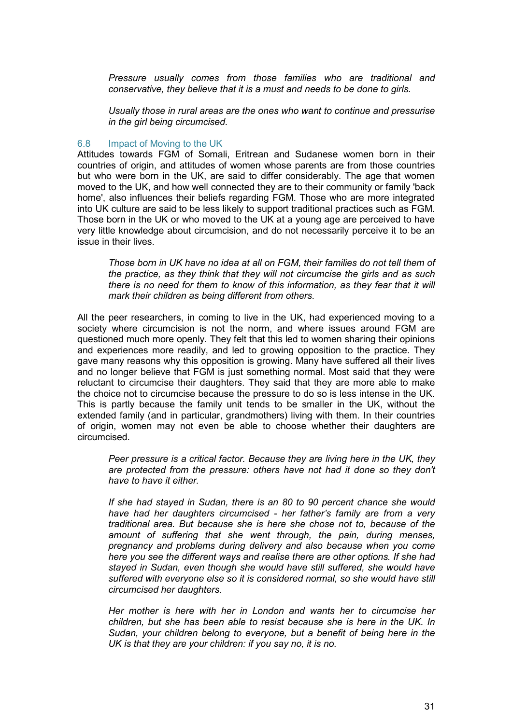<span id="page-30-0"></span>*Pressure usually comes from those families who are traditional and conservative, they believe that it is a must and needs to be done to girls.* 

*Usually those in rural areas are the ones who want to continue and pressurise in the girl being circumcised.* 

#### 6.8 Impact of Moving to the UK

Attitudes towards FGM of Somali, Eritrean and Sudanese women born in their countries of origin, and attitudes of women whose parents are from those countries but who were born in the UK, are said to differ considerably. The age that women moved to the UK, and how well connected they are to their community or family 'back home', also influences their beliefs regarding FGM. Those who are more integrated into UK culture are said to be less likely to support traditional practices such as FGM. Those born in the UK or who moved to the UK at a young age are perceived to have very little knowledge about circumcision, and do not necessarily perceive it to be an issue in their lives.

Those born in UK have no idea at all on FGM, their families do not tell them of *the practice, as they think that they will not circumcise the girls and as such there is no need for them to know of this information, as they fear that it will mark their children as being different from others.* 

All the peer researchers, in coming to live in the UK, had experienced moving to a society where circumcision is not the norm, and where issues around FGM are questioned much more openly. They felt that this led to women sharing their opinions and experiences more readily, and led to growing opposition to the practice. They gave many reasons why this opposition is growing. Many have suffered all their lives and no longer believe that FGM is just something normal. Most said that they were reluctant to circumcise their daughters. They said that they are more able to make the choice not to circumcise because the pressure to do so is less intense in the UK. This is partly because the family unit tends to be smaller in the UK, without the extended family (and in particular, grandmothers) living with them. In their countries of origin, women may not even be able to choose whether their daughters are circumcised.

*Peer pressure is a critical factor. Because they are living here in the UK, they are protected from the pressure: others have not had it done so they don't have to have it either.* 

*If she had stayed in Sudan, there is an 80 to 90 percent chance she would have had her daughters circumcised - her father's family are from a very traditional area. But because she is here she chose not to, because of the amount of suffering that she went through, the pain, during menses, pregnancy and problems during delivery and also because when you come here you see the different ways and realise there are other options. If she had stayed in Sudan, even though she would have still suffered, she would have suffered with everyone else so it is considered normal, so she would have still circumcised her daughters.* 

*Her mother is here with her in London and wants her to circumcise her children, but she has been able to resist because she is here in the UK. In Sudan, your children belong to everyone, but a benefit of being here in the UK is that they are your children: if you say no, it is no.*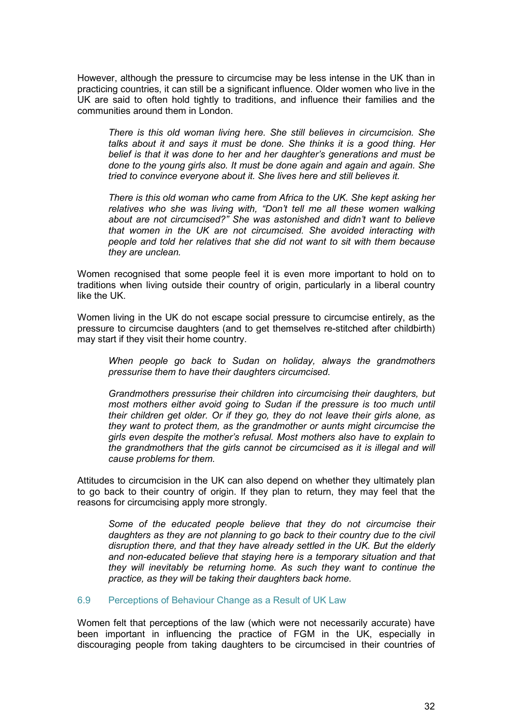<span id="page-31-0"></span>However, although the pressure to circumcise may be less intense in the UK than in practicing countries, it can still be a significant influence. Older women who live in the UK are said to often hold tightly to traditions, and influence their families and the communities around them in London.

*There is this old woman living here. She still believes in circumcision. She talks about it and says it must be done. She thinks it is a good thing. Her belief is that it was done to her and her daughter's generations and must be done to the young girls also. It must be done again and again and again. She tried to convince everyone about it. She lives here and still believes it.* 

*There is this old woman who came from Africa to the UK. She kept asking her relatives who she was living with, "Don't tell me all these women walking about are not circumcised?" She was astonished and didn't want to believe that women in the UK are not circumcised. She avoided interacting with people and told her relatives that she did not want to sit with them because they are unclean.* 

Women recognised that some people feel it is even more important to hold on to traditions when living outside their country of origin, particularly in a liberal country like the UK.

Women living in the UK do not escape social pressure to circumcise entirely, as the pressure to circumcise daughters (and to get themselves re-stitched after childbirth) may start if they visit their home country.

*When people go back to Sudan on holiday, always the grandmothers pressurise them to have their daughters circumcised.* 

*Grandmothers pressurise their children into circumcising their daughters, but most mothers either avoid going to Sudan if the pressure is too much until their children get older. Or if they go, they do not leave their girls alone, as they want to protect them, as the grandmother or aunts might circumcise the girls even despite the mother's refusal. Most mothers also have to explain to the grandmothers that the girls cannot be circumcised as it is illegal and will cause problems for them.* 

Attitudes to circumcision in the UK can also depend on whether they ultimately plan to go back to their country of origin. If they plan to return, they may feel that the reasons for circumcising apply more strongly.

*Some of the educated people believe that they do not circumcise their daughters as they are not planning to go back to their country due to the civil disruption there, and that they have already settled in the UK. But the elderly and non-educated believe that staying here is a temporary situation and that they will inevitably be returning home. As such they want to continue the practice, as they will be taking their daughters back home.* 

#### 6.9 Perceptions of Behaviour Change as a Result of UK Law

Women felt that perceptions of the law (which were not necessarily accurate) have been important in influencing the practice of FGM in the UK, especially in discouraging people from taking daughters to be circumcised in their countries of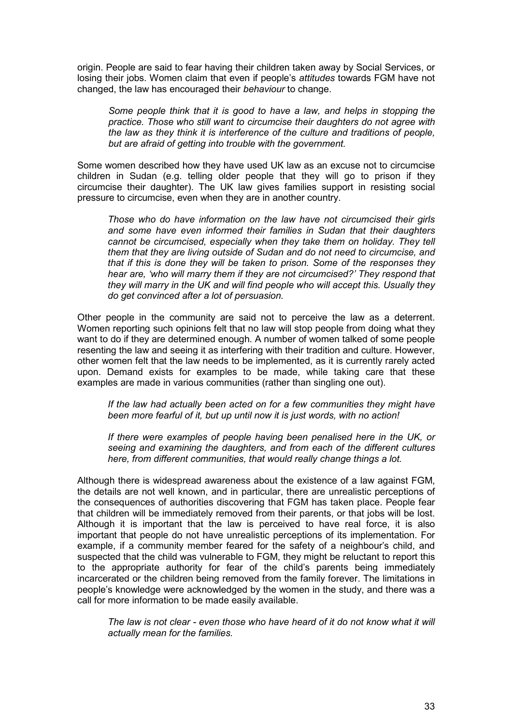origin. People are said to fear having their children taken away by Social Services, or losing their jobs. Women claim that even if people's *attitudes* towards FGM have not changed, the law has encouraged their *behaviour* to change.

*Some people think that it is good to have a law, and helps in stopping the practice. Those who still want to circumcise their daughters do not agree with the law as they think it is interference of the culture and traditions of people, but are afraid of getting into trouble with the government.* 

Some women described how they have used UK law as an excuse not to circumcise children in Sudan (e.g. telling older people that they will go to prison if they circumcise their daughter). The UK law gives families support in resisting social pressure to circumcise, even when they are in another country.

*Those who do have information on the law have not circumcised their girls and some have even informed their families in Sudan that their daughters*  cannot be circumcised, especially when they take them on holiday. They tell *them that they are living outside of Sudan and do not need to circumcise, and that if this is done they will be taken to prison. Some of the responses they hear are, 'who will marry them if they are not circumcised?' They respond that they will marry in the UK and will find people who will accept this. Usually they do get convinced after a lot of persuasion.* 

Other people in the community are said not to perceive the law as a deterrent. Women reporting such opinions felt that no law will stop people from doing what they want to do if they are determined enough. A number of women talked of some people resenting the law and seeing it as interfering with their tradition and culture. However, other women felt that the law needs to be implemented, as it is currently rarely acted upon. Demand exists for examples to be made, while taking care that these examples are made in various communities (rather than singling one out).

*If the law had actually been acted on for a few communities they might have been more fearful of it, but up until now it is just words, with no action!* 

*If there were examples of people having been penalised here in the UK, or seeing and examining the daughters, and from each of the different cultures here, from different communities, that would really change things a lot.* 

Although there is widespread awareness about the existence of a law against FGM, the details are not well known, and in particular, there are unrealistic perceptions of the consequences of authorities discovering that FGM has taken place. People fear that children will be immediately removed from their parents, or that jobs will be lost. Although it is important that the law is perceived to have real force, it is also important that people do not have unrealistic perceptions of its implementation. For example, if a community member feared for the safety of a neighbour's child, and suspected that the child was vulnerable to FGM, they might be reluctant to report this to the appropriate authority for fear of the child's parents being immediately incarcerated or the children being removed from the family forever. The limitations in people's knowledge were acknowledged by the women in the study, and there was a call for more information to be made easily available.

The law is not clear - even those who have heard of it do not know what it will *actually mean for the families.*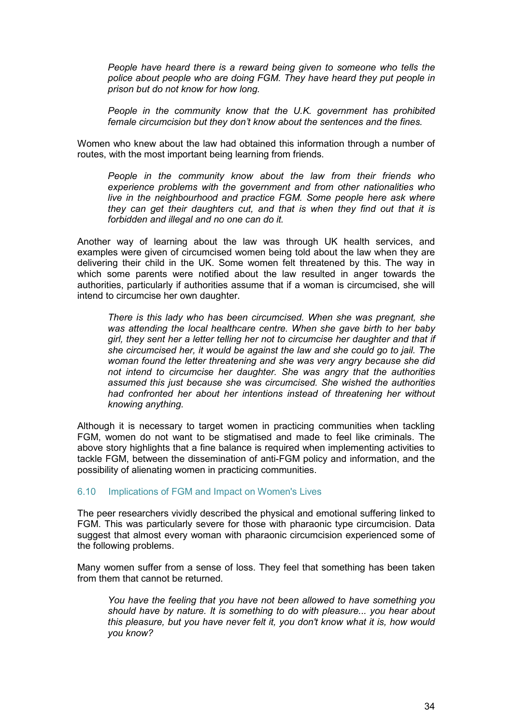<span id="page-33-0"></span>*People have heard there is a reward being given to someone who tells the police about people who are doing FGM. They have heard they put people in prison but do not know for how long.* 

*People in the community know that the U.K. government has prohibited female circumcision but they don't know about the sentences and the fines.* 

Women who knew about the law had obtained this information through a number of routes, with the most important being learning from friends.

*People in the community know about the law from their friends who experience problems with the government and from other nationalities who live in the neighbourhood and practice FGM. Some people here ask where they can get their daughters cut, and that is when they find out that it is forbidden and illegal and no one can do it.* 

Another way of learning about the law was through UK health services, and examples were given of circumcised women being told about the law when they are delivering their child in the UK. Some women felt threatened by this. The way in which some parents were notified about the law resulted in anger towards the authorities, particularly if authorities assume that if a woman is circumcised, she will intend to circumcise her own daughter.

*There is this lady who has been circumcised. When she was pregnant, she was attending the local healthcare centre. When she gave birth to her baby girl, they sent her a letter telling her not to circumcise her daughter and that if she circumcised her, it would be against the law and she could go to jail. The woman found the letter threatening and she was very angry because she did not intend to circumcise her daughter. She was angry that the authorities assumed this just because she was circumcised. She wished the authorities had confronted her about her intentions instead of threatening her without knowing anything.* 

Although it is necessary to target women in practicing communities when tackling FGM, women do not want to be stigmatised and made to feel like criminals. The above story highlights that a fine balance is required when implementing activities to tackle FGM, between the dissemination of anti-FGM policy and information, and the possibility of alienating women in practicing communities.

#### 6.10 Implications of FGM and Impact on Women's Lives

The peer researchers vividly described the physical and emotional suffering linked to FGM. This was particularly severe for those with pharaonic type circumcision. Data suggest that almost every woman with pharaonic circumcision experienced some of the following problems.

Many women suffer from a sense of loss. They feel that something has been taken from them that cannot be returned.

*You have the feeling that you have not been allowed to have something you should have by nature. It is something to do with pleasure... you hear about this pleasure, but you have never felt it, you don't know what it is, how would you know?*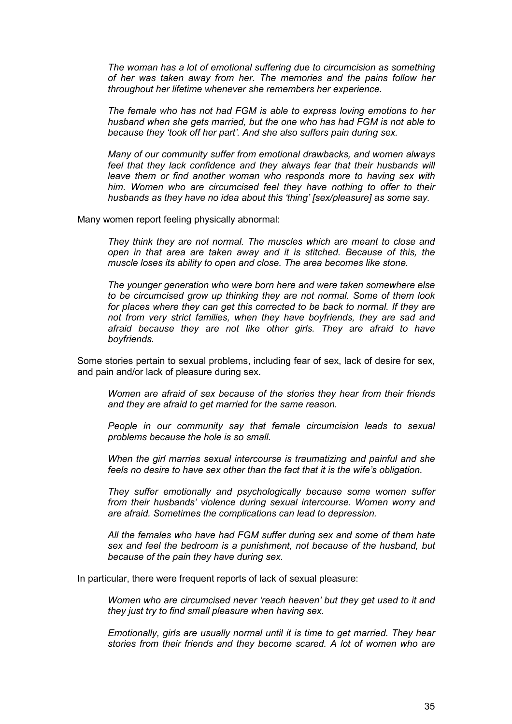*The woman has a lot of emotional suffering due to circumcision as something of her was taken away from her. The memories and the pains follow her throughout her lifetime whenever she remembers her experience.* 

*The female who has not had FGM is able to express loving emotions to her husband when she gets married, but the one who has had FGM is not able to because they 'took off her part'. And she also suffers pain during sex.* 

*Many of our community suffer from emotional drawbacks, and women always*  feel that they lack confidence and they always fear that their husbands will *leave them or find another woman who responds more to having sex with him. Women who are circumcised feel they have nothing to offer to their husbands as they have no idea about this 'thing' [sex/pleasure] as some say.* 

Many women report feeling physically abnormal:

*They think they are not normal. The muscles which are meant to close and open in that area are taken away and it is stitched. Because of this, the muscle loses its ability to open and close. The area becomes like stone.* 

*The younger generation who were born here and were taken somewhere else to be circumcised grow up thinking they are not normal. Some of them look*  for places where they can get this corrected to be back to normal. If they are *not from very strict families, when they have boyfriends, they are sad and afraid because they are not like other girls. They are afraid to have boyfriends.* 

Some stories pertain to sexual problems, including fear of sex, lack of desire for sex, and pain and/or lack of pleasure during sex.

*Women are afraid of sex because of the stories they hear from their friends and they are afraid to get married for the same reason.* 

*People in our community say that female circumcision leads to sexual problems because the hole is so small.* 

*When the girl marries sexual intercourse is traumatizing and painful and she feels no desire to have sex other than the fact that it is the wife's obligation.* 

*They suffer emotionally and psychologically because some women suffer from their husbands' violence during sexual intercourse. Women worry and are afraid. Sometimes the complications can lead to depression.* 

*All the females who have had FGM suffer during sex and some of them hate sex and feel the bedroom is a punishment, not because of the husband, but because of the pain they have during sex.* 

In particular, there were frequent reports of lack of sexual pleasure:

*Women who are circumcised never 'reach heaven' but they get used to it and they just try to find small pleasure when having sex.* 

*Emotionally, girls are usually normal until it is time to get married. They hear stories from their friends and they become scared. A lot of women who are*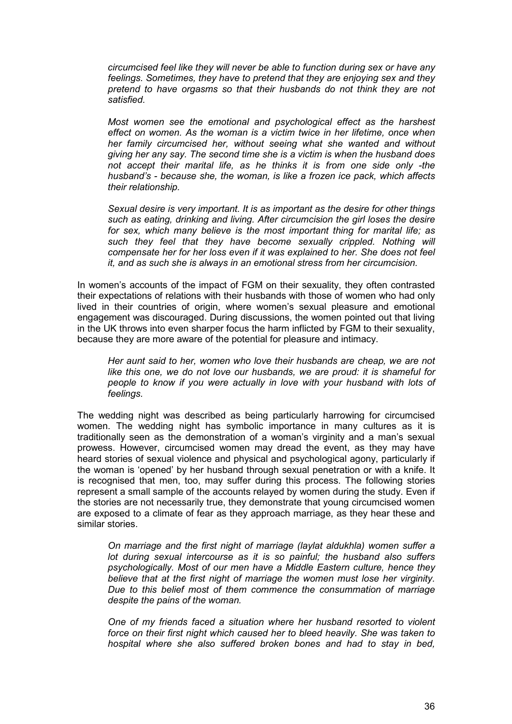*circumcised feel like they will never be able to function during sex or have any feelings. Sometimes, they have to pretend that they are enjoying sex and they pretend to have orgasms so that their husbands do not think they are not satisfied.* 

*Most women see the emotional and psychological effect as the harshest effect on women. As the woman is a victim twice in her lifetime, once when her family circumcised her, without seeing what she wanted and without giving her any say. The second time she is a victim is when the husband does not accept their marital life, as he thinks it is from one side only -the husband's - because she, the woman, is like a frozen ice pack, which affects their relationship.* 

*Sexual desire is very important. It is as important as the desire for other things such as eating, drinking and living. After circumcision the girl loses the desire for sex, which many believe is the most important thing for marital life; as such they feel that they have become sexually crippled. Nothing will compensate her for her loss even if it was explained to her. She does not feel it, and as such she is always in an emotional stress from her circumcision.* 

In women's accounts of the impact of FGM on their sexuality, they often contrasted their expectations of relations with their husbands with those of women who had only lived in their countries of origin, where women's sexual pleasure and emotional engagement was discouraged. During discussions, the women pointed out that living in the UK throws into even sharper focus the harm inflicted by FGM to their sexuality, because they are more aware of the potential for pleasure and intimacy.

*Her aunt said to her, women who love their husbands are cheap, we are not like this one, we do not love our husbands, we are proud: it is shameful for people to know if you were actually in love with your husband with lots of feelings.* 

The wedding night was described as being particularly harrowing for circumcised women. The wedding night has symbolic importance in many cultures as it is traditionally seen as the demonstration of a woman's virginity and a man's sexual prowess. However, circumcised women may dread the event, as they may have heard stories of sexual violence and physical and psychological agony, particularly if the woman is 'opened' by her husband through sexual penetration or with a knife. It is recognised that men, too, may suffer during this process. The following stories represent a small sample of the accounts relayed by women during the study. Even if the stories are not necessarily true, they demonstrate that young circumcised women are exposed to a climate of fear as they approach marriage, as they hear these and similar stories.

*On marriage and the first night of marriage (laylat aldukhla) women suffer a lot during sexual intercourse as it is so painful; the husband also suffers psychologically. Most of our men have a Middle Eastern culture, hence they believe that at the first night of marriage the women must lose her virginity. Due to this belief most of them commence the consummation of marriage despite the pains of the woman.* 

*One of my friends faced a situation where her husband resorted to violent force on their first night which caused her to bleed heavily. She was taken to hospital where she also suffered broken bones and had to stay in bed,*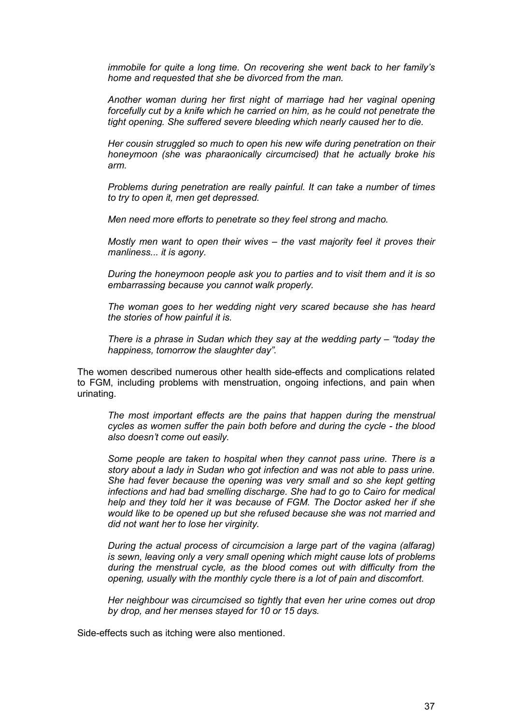*immobile for quite a long time. On recovering she went back to her family's home and requested that she be divorced from the man.* 

*Another woman during her first night of marriage had her vaginal opening forcefully cut by a knife which he carried on him, as he could not penetrate the tight opening. She suffered severe bleeding which nearly caused her to die.* 

*Her cousin struggled so much to open his new wife during penetration on their honeymoon (she was pharaonically circumcised) that he actually broke his arm.* 

*Problems during penetration are really painful. It can take a number of times to try to open it, men get depressed.* 

*Men need more efforts to penetrate so they feel strong and macho.* 

*Mostly men want to open their wives – the vast majority feel it proves their manliness... it is agony.* 

*During the honeymoon people ask you to parties and to visit them and it is so embarrassing because you cannot walk properly.* 

*The woman goes to her wedding night very scared because she has heard the stories of how painful it is.* 

*There is a phrase in Sudan which they say at the wedding party – "today the happiness, tomorrow the slaughter day".* 

The women described numerous other health side-effects and complications related to FGM, including problems with menstruation, ongoing infections, and pain when urinating.

*The most important effects are the pains that happen during the menstrual cycles as women suffer the pain both before and during the cycle - the blood also doesn't come out easily.*

*Some people are taken to hospital when they cannot pass urine. There is a story about a lady in Sudan who got infection and was not able to pass urine. She had fever because the opening was very small and so she kept getting infections and had bad smelling discharge. She had to go to Cairo for medical help and they told her it was because of FGM. The Doctor asked her if she would like to be opened up but she refused because she was not married and did not want her to lose her virginity.* 

*During the actual process of circumcision a large part of the vagina (alfarag) is sewn, leaving only a very small opening which might cause lots of problems during the menstrual cycle, as the blood comes out with difficulty from the opening, usually with the monthly cycle there is a lot of pain and discomfort.* 

*Her neighbour was circumcised so tightly that even her urine comes out drop by drop, and her menses stayed for 10 or 15 days.* 

Side-effects such as itching were also mentioned.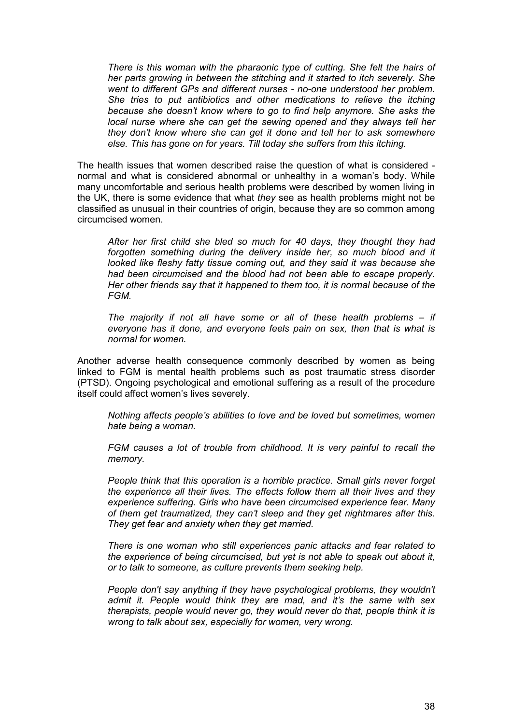*There is this woman with the pharaonic type of cutting. She felt the hairs of her parts growing in between the stitching and it started to itch severely. She went to different GPs and different nurses - no-one understood her problem. She tries to put antibiotics and other medications to relieve the itching because she doesn't know where to go to find help anymore. She asks the local nurse where she can get the sewing opened and they always tell her they don't know where she can get it done and tell her to ask somewhere else. This has gone on for years. Till today she suffers from this itching.* 

The health issues that women described raise the question of what is considered normal and what is considered abnormal or unhealthy in a woman's body. While many uncomfortable and serious health problems were described by women living in the UK, there is some evidence that what *they* see as health problems might not be classified as unusual in their countries of origin, because they are so common among circumcised women.

*After her first child she bled so much for 40 days, they thought they had*  forgotten something during the delivery inside her, so much blood and it *looked like fleshy fatty tissue coming out, and they said it was because she had been circumcised and the blood had not been able to escape properly. Her other friends say that it happened to them too, it is normal because of the FGM.* 

*The majority if not all have some or all of these health problems – if everyone has it done, and everyone feels pain on sex, then that is what is normal for women.* 

Another adverse health consequence commonly described by women as being linked to FGM is mental health problems such as post traumatic stress disorder (PTSD). Ongoing psychological and emotional suffering as a result of the procedure itself could affect women's lives severely.

*Nothing affects people's abilities to love and be loved but sometimes, women hate being a woman.* 

FGM causes a lot of trouble from childhood. It is very painful to recall the *memory.* 

*People think that this operation is a horrible practice. Small girls never forget the experience all their lives. The effects follow them all their lives and they experience suffering. Girls who have been circumcised experience fear. Many of them get traumatized, they can't sleep and they get nightmares after this. They get fear and anxiety when they get married.* 

*There is one woman who still experiences panic attacks and fear related to the experience of being circumcised, but yet is not able to speak out about it, or to talk to someone, as culture prevents them seeking help.* 

*People don't say anything if they have psychological problems, they wouldn't admit it. People would think they are mad, and it's the same with sex therapists, people would never go, they would never do that, people think it is wrong to talk about sex, especially for women, very wrong.*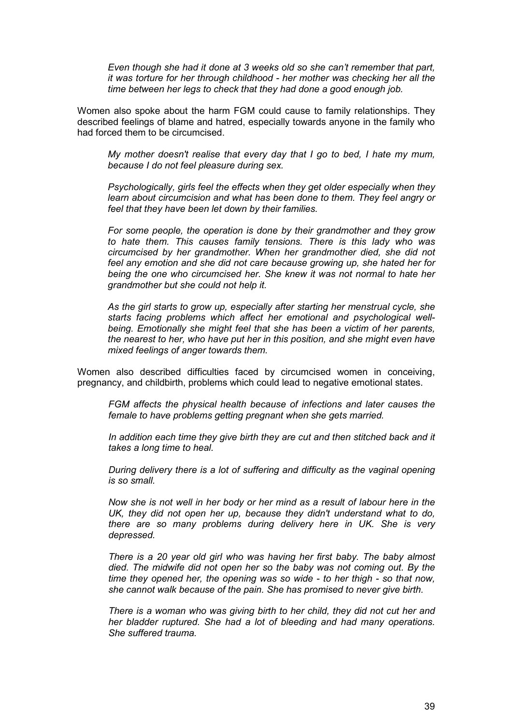*Even though she had it done at 3 weeks old so she can't remember that part, it was torture for her through childhood - her mother was checking her all the time between her legs to check that they had done a good enough job.* 

Women also spoke about the harm FGM could cause to family relationships. They described feelings of blame and hatred, especially towards anyone in the family who had forced them to be circumcised.

*My mother doesn't realise that every day that I go to bed, I hate my mum, because I do not feel pleasure during sex.* 

*Psychologically, girls feel the effects when they get older especially when they learn about circumcision and what has been done to them. They feel angry or feel that they have been let down by their families.* 

*For some people, the operation is done by their grandmother and they grow to hate them. This causes family tensions. There is this lady who was circumcised by her grandmother. When her grandmother died, she did not feel any emotion and she did not care because growing up, she hated her for being the one who circumcised her. She knew it was not normal to hate her grandmother but she could not help it.* 

*As the girl starts to grow up, especially after starting her menstrual cycle, she starts facing problems which affect her emotional and psychological wellbeing. Emotionally she might feel that she has been a victim of her parents, the nearest to her, who have put her in this position, and she might even have mixed feelings of anger towards them.* 

Women also described difficulties faced by circumcised women in conceiving, pregnancy, and childbirth, problems which could lead to negative emotional states.

*FGM affects the physical health because of infections and later causes the female to have problems getting pregnant when she gets married.* 

*In addition each time they give birth they are cut and then stitched back and it takes a long time to heal.* 

*During delivery there is a lot of suffering and difficulty as the vaginal opening is so small.* 

*Now she is not well in her body or her mind as a result of labour here in the UK, they did not open her up, because they didn't understand what to do, there are so many problems during delivery here in UK. She is very depressed.* 

*There is a 20 year old girl who was having her first baby. The baby almost died. The midwife did not open her so the baby was not coming out. By the time they opened her, the opening was so wide - to her thigh - so that now, she cannot walk because of the pain. She has promised to never give birth.* 

*There is a woman who was giving birth to her child, they did not cut her and her bladder ruptured. She had a lot of bleeding and had many operations. She suffered trauma.*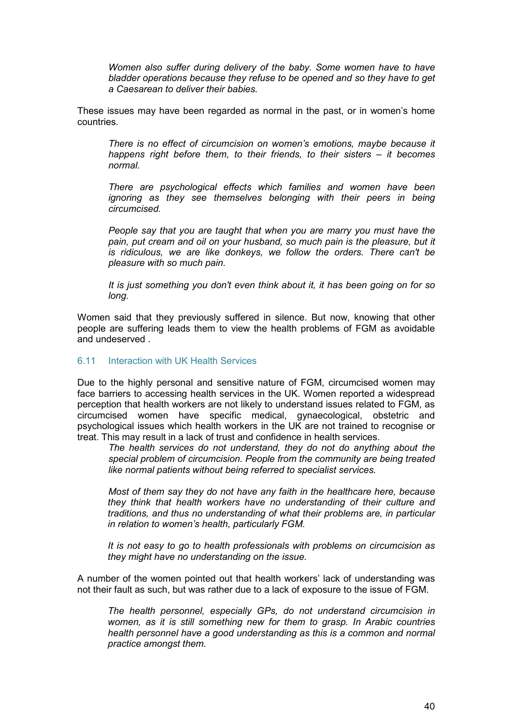<span id="page-39-0"></span>*Women also suffer during delivery of the baby. Some women have to have bladder operations because they refuse to be opened and so they have to get a Caesarean to deliver their babies.* 

These issues may have been regarded as normal in the past, or in women's home countries.

*There is no effect of circumcision on women's emotions, maybe because it happens right before them, to their friends, to their sisters – it becomes normal.* 

*There are psychological effects which families and women have been ignoring as they see themselves belonging with their peers in being circumcised.* 

*People say that you are taught that when you are marry you must have the pain, put cream and oil on your husband, so much pain is the pleasure, but it is ridiculous, we are like donkeys, we follow the orders. There can't be pleasure with so much pain.* 

*It is just something you don't even think about it, it has been going on for so long.* 

Women said that they previously suffered in silence. But now, knowing that other people are suffering leads them to view the health problems of FGM as avoidable and undeserved .

#### 6.11 Interaction with UK Health Services

Due to the highly personal and sensitive nature of FGM, circumcised women may face barriers to accessing health services in the UK. Women reported a widespread perception that health workers are not likely to understand issues related to FGM, as circumcised women have specific medical, gynaecological, obstetric and psychological issues which health workers in the UK are not trained to recognise or treat. This may result in a lack of trust and confidence in health services.

*The health services do not understand, they do not do anything about the special problem of circumcision. People from the community are being treated like normal patients without being referred to specialist services.* 

*Most of them say they do not have any faith in the healthcare here, because they think that health workers have no understanding of their culture and traditions, and thus no understanding of what their problems are, in particular in relation to women's health, particularly FGM.* 

*It is not easy to go to health professionals with problems on circumcision as they might have no understanding on the issue.* 

A number of the women pointed out that health workers' lack of understanding was not their fault as such, but was rather due to a lack of exposure to the issue of FGM.

*The health personnel, especially GPs, do not understand circumcision in women, as it is still something new for them to grasp. In Arabic countries health personnel have a good understanding as this is a common and normal practice amongst them.*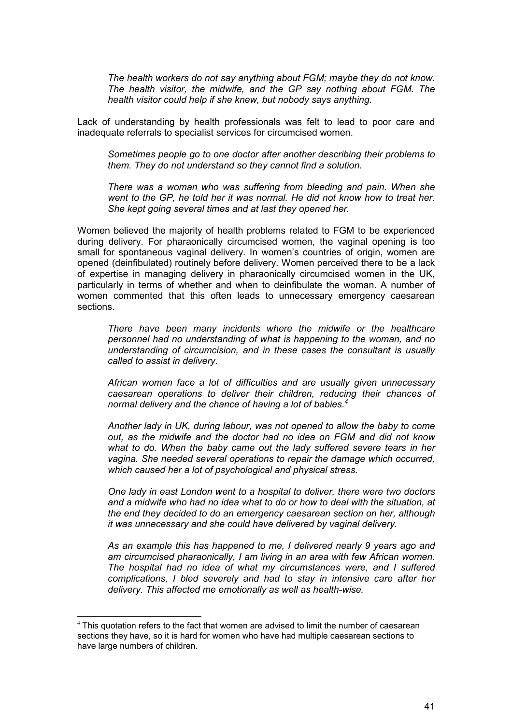*The health workers do not say anything about FGM; maybe they do not know. The health visitor, the midwife, and the GP say nothing about FGM. The health visitor could help if she knew, but nobody says anything.* 

Lack of understanding by health professionals was felt to lead to poor care and inadequate referrals to specialist services for circumcised women.

*Sometimes people go to one doctor after another describing their problems to them. They do not understand so they cannot find a solution.* 

*There was a woman who was suffering from bleeding and pain. When she went to the GP, he told her it was normal. He did not know how to treat her. She kept going several times and at last they opened her.*

Women believed the majority of health problems related to FGM to be experienced during delivery. For pharaonically circumcised women, the vaginal opening is too small for spontaneous vaginal delivery. In women's countries of origin, women are opened (deinfibulated) routinely before delivery. Women perceived there to be a lack of expertise in managing delivery in pharaonically circumcised women in the UK, particularly in terms of whether and when to deinfibulate the woman. A number of women commented that this often leads to unnecessary emergency caesarean sections.

*There have been many incidents where the midwife or the healthcare personnel had no understanding of what is happening to the woman, and no understanding of circumcision, and in these cases the consultant is usually called to assist in delivery.* 

*African women face a lot of difficulties and are usually given unnecessary caesarean operations to deliver their children, reducing their chances of normal delivery and the chance of having a lot of babies.<sup>4</sup>*

*Another lady in UK, during labour, was not opened to allow the baby to come out, as the midwife and the doctor had no idea on FGM and did not know what to do. When the baby came out the lady suffered severe tears in her vagina. She needed several operations to repair the damage which occurred, which caused her a lot of psychological and physical stress.* 

*One lady in east London went to a hospital to deliver, there were two doctors and a midwife who had no idea what to do or how to deal with the situation, at the end they decided to do an emergency caesarean section on her, although it was unnecessary and she could have delivered by vaginal delivery.* 

*As an example this has happened to me, I delivered nearly 9 years ago and am circumcised pharaonically, I am living in an area with few African women. The hospital had no idea of what my circumstances were, and I suffered complications, I bled severely and had to stay in intensive care after her delivery. This affected me emotionally as well as health-wise.* 

 $\overline{a}$ 

 $4$  This quotation refers to the fact that women are advised to limit the number of caesarean sections they have, so it is hard for women who have had multiple caesarean sections to have large numbers of children.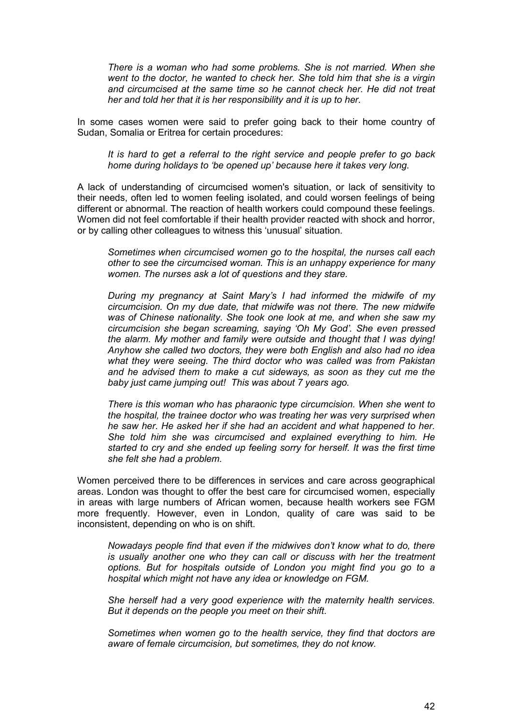*There is a woman who had some problems. She is not married. When she went to the doctor, he wanted to check her. She told him that she is a virgin and circumcised at the same time so he cannot check her. He did not treat her and told her that it is her responsibility and it is up to her.* 

In some cases women were said to prefer going back to their home country of Sudan, Somalia or Eritrea for certain procedures:

*It is hard to get a referral to the right service and people prefer to go back home during holidays to 'be opened up' because here it takes very long.* 

A lack of understanding of circumcised women's situation, or lack of sensitivity to their needs, often led to women feeling isolated, and could worsen feelings of being different or abnormal. The reaction of health workers could compound these feelings. Women did not feel comfortable if their health provider reacted with shock and horror, or by calling other colleagues to witness this 'unusual' situation.

*Sometimes when circumcised women go to the hospital, the nurses call each other to see the circumcised woman. This is an unhappy experience for many women. The nurses ask a lot of questions and they stare.* 

*During my pregnancy at Saint Mary's I had informed the midwife of my circumcision. On my due date, that midwife was not there. The new midwife was of Chinese nationality. She took one look at me, and when she saw my circumcision she began screaming, saying 'Oh My God'. She even pressed the alarm. My mother and family were outside and thought that I was dying! Anyhow she called two doctors, they were both English and also had no idea what they were seeing. The third doctor who was called was from Pakistan and he advised them to make a cut sideways, as soon as they cut me the baby just came jumping out! This was about 7 years ago.* 

*There is this woman who has pharaonic type circumcision. When she went to the hospital, the trainee doctor who was treating her was very surprised when he saw her. He asked her if she had an accident and what happened to her. She told him she was circumcised and explained everything to him. He started to cry and she ended up feeling sorry for herself. It was the first time she felt she had a problem.* 

Women perceived there to be differences in services and care across geographical areas. London was thought to offer the best care for circumcised women, especially in areas with large numbers of African women, because health workers see FGM more frequently. However, even in London, quality of care was said to be inconsistent, depending on who is on shift.

*Nowadays people find that even if the midwives don't know what to do, there is usually another one who they can call or discuss with her the treatment options. But for hospitals outside of London you might find you go to a hospital which might not have any idea or knowledge on FGM.*

*She herself had a very good experience with the maternity health services. But it depends on the people you meet on their shift.*

*Sometimes when women go to the health service, they find that doctors are aware of female circumcision, but sometimes, they do not know.*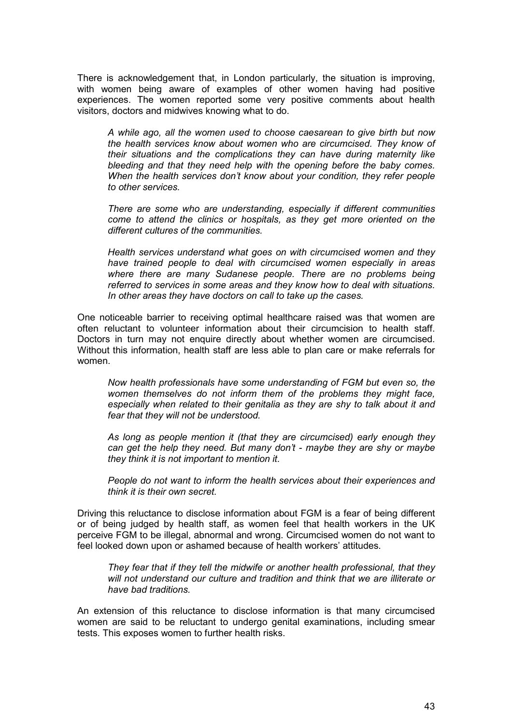There is acknowledgement that, in London particularly, the situation is improving, with women being aware of examples of other women having had positive experiences. The women reported some very positive comments about health visitors, doctors and midwives knowing what to do.

*A while ago, all the women used to choose caesarean to give birth but now the health services know about women who are circumcised. They know of their situations and the complications they can have during maternity like bleeding and that they need help with the opening before the baby comes. When the health services don't know about your condition, they refer people to other services.* 

*There are some who are understanding, especially if different communities come to attend the clinics or hospitals, as they get more oriented on the different cultures of the communities.* 

*Health services understand what goes on with circumcised women and they have trained people to deal with circumcised women especially in areas where there are many Sudanese people. There are no problems being referred to services in some areas and they know how to deal with situations. In other areas they have doctors on call to take up the cases.* 

One noticeable barrier to receiving optimal healthcare raised was that women are often reluctant to volunteer information about their circumcision to health staff. Doctors in turn may not enquire directly about whether women are circumcised. Without this information, health staff are less able to plan care or make referrals for women.

*Now health professionals have some understanding of FGM but even so, the women themselves do not inform them of the problems they might face,*  especially when related to their genitalia as they are shy to talk about it and *fear that they will not be understood.* 

*As long as people mention it (that they are circumcised) early enough they can get the help they need. But many don't - maybe they are shy or maybe they think it is not important to mention it.* 

*People do not want to inform the health services about their experiences and think it is their own secret.* 

Driving this reluctance to disclose information about FGM is a fear of being different or of being judged by health staff, as women feel that health workers in the UK perceive FGM to be illegal, abnormal and wrong. Circumcised women do not want to feel looked down upon or ashamed because of health workers' attitudes.

*They fear that if they tell the midwife or another health professional, that they will not understand our culture and tradition and think that we are illiterate or have bad traditions.* 

An extension of this reluctance to disclose information is that many circumcised women are said to be reluctant to undergo genital examinations, including smear tests. This exposes women to further health risks.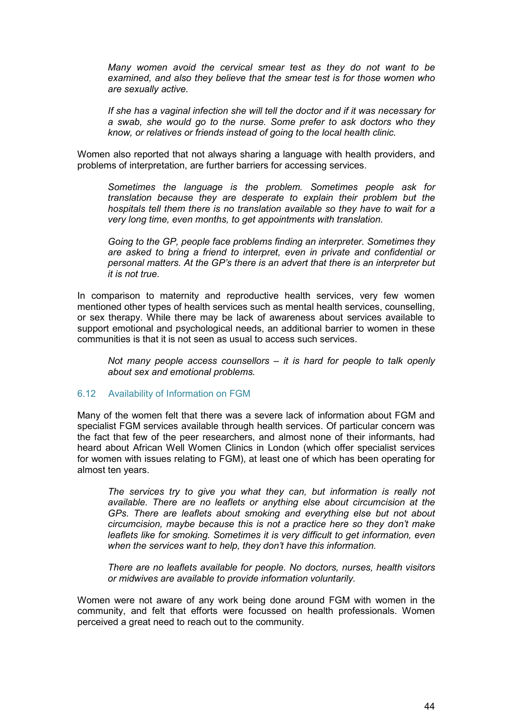<span id="page-43-0"></span>*Many women avoid the cervical smear test as they do not want to be examined, and also they believe that the smear test is for those women who are sexually active.* 

*If she has a vaginal infection she will tell the doctor and if it was necessary for a swab, she would go to the nurse. Some prefer to ask doctors who they know, or relatives or friends instead of going to the local health clinic.* 

Women also reported that not always sharing a language with health providers, and problems of interpretation, are further barriers for accessing services.

*Sometimes the language is the problem. Sometimes people ask for translation because they are desperate to explain their problem but the hospitals tell them there is no translation available so they have to wait for a very long time, even months, to get appointments with translation.* 

*Going to the GP, people face problems finding an interpreter. Sometimes they are asked to bring a friend to interpret, even in private and confidential or personal matters. At the GP's there is an advert that there is an interpreter but it is not true*.

In comparison to maternity and reproductive health services, very few women mentioned other types of health services such as mental health services, counselling, or sex therapy. While there may be lack of awareness about services available to support emotional and psychological needs, an additional barrier to women in these communities is that it is not seen as usual to access such services.

*Not many people access counsellors – it is hard for people to talk openly about sex and emotional problems.* 

#### 6.12 Availability of Information on FGM

Many of the women felt that there was a severe lack of information about FGM and specialist FGM services available through health services. Of particular concern was the fact that few of the peer researchers, and almost none of their informants, had heard about African Well Women Clinics in London (which offer specialist services for women with issues relating to FGM), at least one of which has been operating for almost ten years.

*The services try to give you what they can, but information is really not available. There are no leaflets or anything else about circumcision at the GPs. There are leaflets about smoking and everything else but not about circumcision, maybe because this is not a practice here so they don't make*  leaflets like for smoking. Sometimes it is very difficult to get information, even *when the services want to help, they don't have this information.* 

*There are no leaflets available for people. No doctors, nurses, health visitors or midwives are available to provide information voluntarily.* 

Women were not aware of any work being done around FGM with women in the community, and felt that efforts were focussed on health professionals. Women perceived a great need to reach out to the community.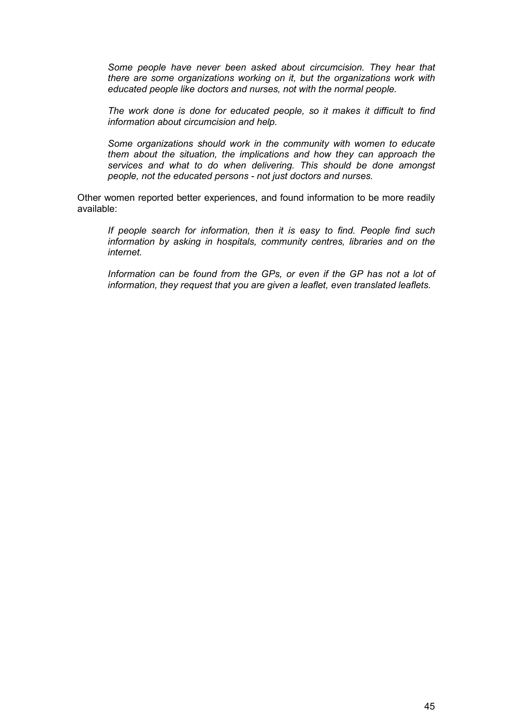*Some people have never been asked about circumcision. They hear that there are some organizations working on it, but the organizations work with educated people like doctors and nurses, not with the normal people.* 

*The work done is done for educated people, so it makes it difficult to find information about circumcision and help.* 

*Some organizations should work in the community with women to educate them about the situation, the implications and how they can approach the services and what to do when delivering. This should be done amongst people, not the educated persons - not just doctors and nurses.* 

Other women reported better experiences, and found information to be more readily available:

*If people search for information, then it is easy to find. People find such information by asking in hospitals, community centres, libraries and on the internet.* 

Information can be found from the GPs, or even if the GP has not a lot of *information, they request that you are given a leaflet, even translated leaflets.*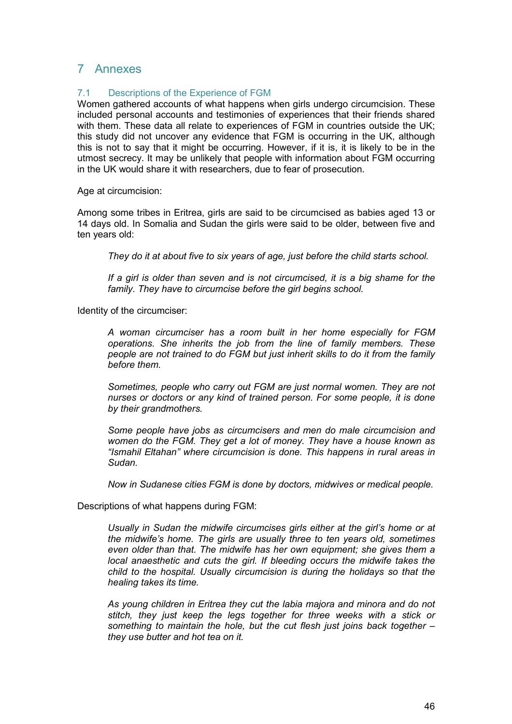# <span id="page-45-0"></span>7 Annexes

# 7.1 Descriptions of the Experience of FGM

Women gathered accounts of what happens when girls undergo circumcision. These included personal accounts and testimonies of experiences that their friends shared with them. These data all relate to experiences of FGM in countries outside the UK; this study did not uncover any evidence that FGM is occurring in the UK, although this is not to say that it might be occurring. However, if it is, it is likely to be in the utmost secrecy. It may be unlikely that people with information about FGM occurring in the UK would share it with researchers, due to fear of prosecution.

Age at circumcision:

Among some tribes in Eritrea, girls are said to be circumcised as babies aged 13 or 14 days old. In Somalia and Sudan the girls were said to be older, between five and ten years old:

*They do it at about five to six years of age, just before the child starts school.* 

*If a girl is older than seven and is not circumcised, it is a big shame for the family. They have to circumcise before the girl begins school.* 

Identity of the circumciser:

*A woman circumciser has a room built in her home especially for FGM operations. She inherits the job from the line of family members. These people are not trained to do FGM but just inherit skills to do it from the family before them.* 

*Sometimes, people who carry out FGM are just normal women. They are not nurses or doctors or any kind of trained person. For some people, it is done by their grandmothers.* 

*Some people have jobs as circumcisers and men do male circumcision and women do the FGM. They get a lot of money. They have a house known as "Ismahil Eltahan" where circumcision is done. This happens in rural areas in Sudan.* 

*Now in Sudanese cities FGM is done by doctors, midwives or medical people.* 

Descriptions of what happens during FGM:

*Usually in Sudan the midwife circumcises girls either at the girl's home or at the midwife's home. The girls are usually three to ten years old, sometimes even older than that. The midwife has her own equipment; she gives them a*  local anaesthetic and cuts the girl. If bleeding occurs the midwife takes the *child to the hospital. Usually circumcision is during the holidays so that the healing takes its time.* 

*As young children in Eritrea they cut the labia majora and minora and do not stitch, they just keep the legs together for three weeks with a stick or something to maintain the hole, but the cut flesh just joins back together – they use butter and hot tea on it.*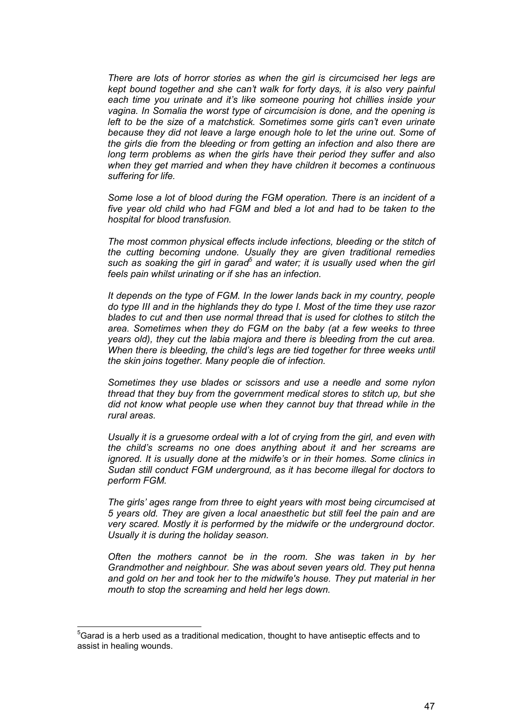*There are lots of horror stories as when the girl is circumcised her legs are kept bound together and she can't walk for forty days, it is also very painful each time you urinate and it's like someone pouring hot chillies inside your vagina. In Somalia the worst type of circumcision is done, and the opening is left to be the size of a matchstick. Sometimes some girls can't even urinate because they did not leave a large enough hole to let the urine out. Some of the girls die from the bleeding or from getting an infection and also there are long term problems as when the girls have their period they suffer and also when they get married and when they have children it becomes a continuous suffering for life.* 

*Some lose a lot of blood during the FGM operation. There is an incident of a five year old child who had FGM and bled a lot and had to be taken to the hospital for blood transfusion.* 

*The most common physical effects include infections, bleeding or the stitch of the cutting becoming undone. Usually they are given traditional remedies*  such as soaking the girl in garad<sup>5</sup> and water; it is usually used when the girl *feels pain whilst urinating or if she has an infection.*

*It depends on the type of FGM. In the lower lands back in my country, people do type III and in the highlands they do type I. Most of the time they use razor blades to cut and then use normal thread that is used for clothes to stitch the area. Sometimes when they do FGM on the baby (at a few weeks to three years old), they cut the labia majora and there is bleeding from the cut area. When there is bleeding, the child's legs are tied together for three weeks until the skin joins together. Many people die of infection.* 

*Sometimes they use blades or scissors and use a needle and some nylon thread that they buy from the government medical stores to stitch up, but she did not know what people use when they cannot buy that thread while in the rural areas.* 

*Usually it is a gruesome ordeal with a lot of crying from the girl, and even with the child's screams no one does anything about it and her screams are ignored. It is usually done at the midwife's or in their homes. Some clinics in Sudan still conduct FGM underground, as it has become illegal for doctors to perform FGM.* 

*The girls' ages range from three to eight years with most being circumcised at 5 years old. They are given a local anaesthetic but still feel the pain and are very scared. Mostly it is performed by the midwife or the underground doctor. Usually it is during the holiday season.* 

*Often the mothers cannot be in the room. She was taken in by her Grandmother and neighbour. She was about seven years old. They put henna and gold on her and took her to the midwife's house. They put material in her mouth to stop the screaming and held her legs down.* 

 $\overline{a}$ 

 $5$ Garad is a herb used as a traditional medication, thought to have antiseptic effects and to assist in healing wounds.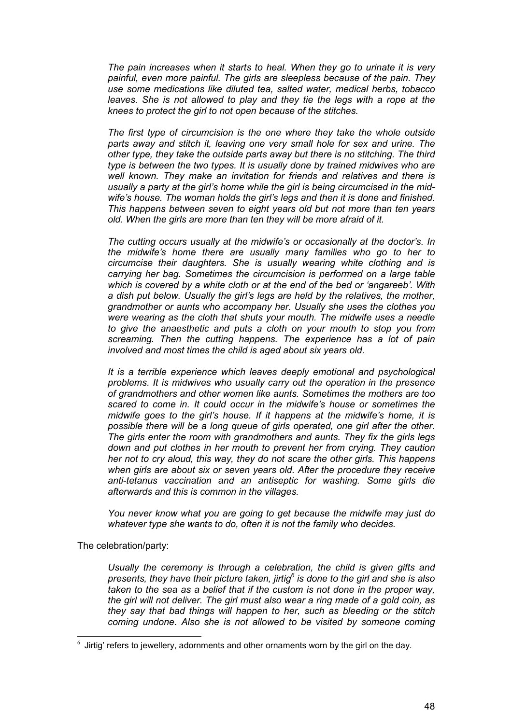*The pain increases when it starts to heal. When they go to urinate it is very painful, even more painful. The girls are sleepless because of the pain. They use some medications like diluted tea, salted water, medical herbs, tobacco leaves. She is not allowed to play and they tie the legs with a rope at the knees to protect the girl to not open because of the stitches.* 

*The first type of circumcision is the one where they take the whole outside parts away and stitch it, leaving one very small hole for sex and urine. The other type, they take the outside parts away but there is no stitching. The third type is between the two types. It is usually done by trained midwives who are well known. They make an invitation for friends and relatives and there is usually a party at the girl's home while the girl is being circumcised in the midwife's house. The woman holds the girl's legs and then it is done and finished. This happens between seven to eight years old but not more than ten years old. When the girls are more than ten they will be more afraid of it.* 

*The cutting occurs usually at the midwife's or occasionally at the doctor's. In the midwife's home there are usually many families who go to her to circumcise their daughters. She is usually wearing white clothing and is carrying her bag. Sometimes the circumcision is performed on a large table which is covered by a white cloth or at the end of the bed or 'angareeb'. With a dish put below. Usually the girl's legs are held by the relatives, the mother, grandmother or aunts who accompany her. Usually she uses the clothes you were wearing as the cloth that shuts your mouth. The midwife uses a needle to give the anaesthetic and puts a cloth on your mouth to stop you from screaming. Then the cutting happens. The experience has a lot of pain involved and most times the child is aged about six years old.* 

*It is a terrible experience which leaves deeply emotional and psychological problems. It is midwives who usually carry out the operation in the presence of grandmothers and other women like aunts. Sometimes the mothers are too scared to come in. It could occur in the midwife's house or sometimes the midwife goes to the girl's house. If it happens at the midwife's home, it is possible there will be a long queue of girls operated, one girl after the other. The girls enter the room with grandmothers and aunts. They fix the girls legs down and put clothes in her mouth to prevent her from crying. They caution her not to cry aloud, this way, they do not scare the other girls. This happens when girls are about six or seven years old. After the procedure they receive anti-tetanus vaccination and an antiseptic for washing. Some girls die afterwards and this is common in the villages.* 

*You never know what you are going to get because the midwife may just do whatever type she wants to do, often it is not the family who decides.* 

The celebration/party:

*Usually the ceremony is through a celebration, the child is given gifts and presents, they have their picture taken, jirtig<sup>6</sup> is done to the girl and she is also*  taken to the sea as a belief that if the custom is not done in the proper way, *the girl will not deliver. The girl must also wear a ring made of a gold coin, as they say that bad things will happen to her, such as bleeding or the stitch coming undone. Also she is not allowed to be visited by someone coming* 

 6 Jirtig' refers to jewellery, adornments and other ornaments worn by the girl on the day.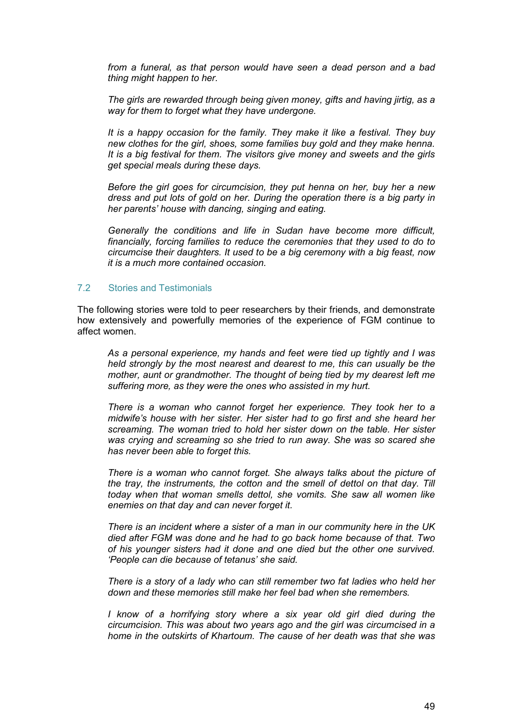<span id="page-48-0"></span>*from a funeral, as that person would have seen a dead person and a bad thing might happen to her.* 

*The girls are rewarded through being given money, gifts and having jirtig, as a way for them to forget what they have undergone.* 

*It is a happy occasion for the family. They make it like a festival. They buy new clothes for the girl, shoes, some families buy gold and they make henna. It is a big festival for them. The visitors give money and sweets and the girls get special meals during these days.* 

*Before the girl goes for circumcision, they put henna on her, buy her a new dress and put lots of gold on her. During the operation there is a big party in her parents' house with dancing, singing and eating.* 

*Generally the conditions and life in Sudan have become more difficult, financially, forcing families to reduce the ceremonies that they used to do to circumcise their daughters. It used to be a big ceremony with a big feast, now it is a much more contained occasion.* 

#### 7.2 Stories and Testimonials

The following stories were told to peer researchers by their friends, and demonstrate how extensively and powerfully memories of the experience of FGM continue to affect women.

*As a personal experience, my hands and feet were tied up tightly and I was held strongly by the most nearest and dearest to me, this can usually be the mother, aunt or grandmother. The thought of being tied by my dearest left me suffering more, as they were the ones who assisted in my hurt.* 

*There is a woman who cannot forget her experience. They took her to a midwife's house with her sister. Her sister had to go first and she heard her screaming. The woman tried to hold her sister down on the table. Her sister was crying and screaming so she tried to run away. She was so scared she has never been able to forget this.* 

*There is a woman who cannot forget. She always talks about the picture of the tray, the instruments, the cotton and the smell of dettol on that day. Till today when that woman smells dettol, she vomits. She saw all women like enemies on that day and can never forget it.* 

*There is an incident where a sister of a man in our community here in the UK died after FGM was done and he had to go back home because of that. Two of his younger sisters had it done and one died but the other one survived. 'People can die because of tetanus' she said.* 

*There is a story of a lady who can still remember two fat ladies who held her down and these memories still make her feel bad when she remembers.* 

*I know of a horrifying story where a six year old girl died during the circumcision. This was about two years ago and the girl was circumcised in a home in the outskirts of Khartoum. The cause of her death was that she was*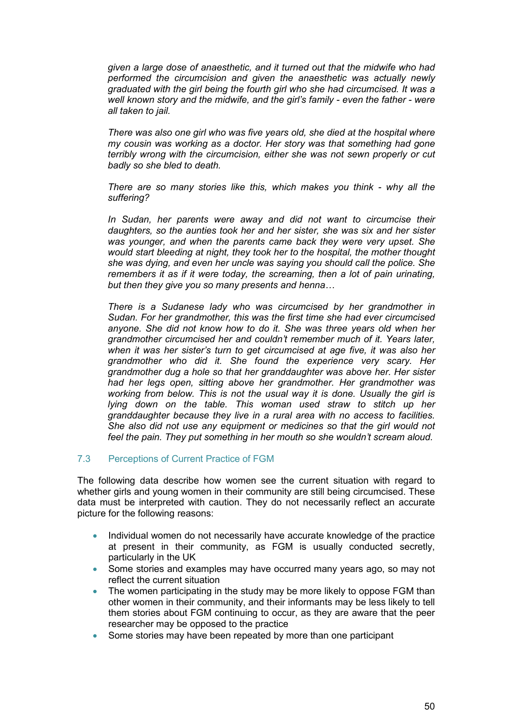<span id="page-49-0"></span>*given a large dose of anaesthetic, and it turned out that the midwife who had performed the circumcision and given the anaesthetic was actually newly graduated with the girl being the fourth girl who she had circumcised. It was a well known story and the midwife, and the girl's family - even the father - were all taken to jail.* 

*There was also one girl who was five years old, she died at the hospital where my cousin was working as a doctor. Her story was that something had gone terribly wrong with the circumcision, either she was not sewn properly or cut badly so she bled to death.* 

*There are so many stories like this, which makes you think - why all the suffering?* 

*In Sudan, her parents were away and did not want to circumcise their daughters, so the aunties took her and her sister, she was six and her sister was younger, and when the parents came back they were very upset. She would start bleeding at night, they took her to the hospital, the mother thought she was dying, and even her uncle was saying you should call the police. She remembers it as if it were today, the screaming, then a lot of pain urinating, but then they give you so many presents and henna…*

*There is a Sudanese lady who was circumcised by her grandmother in Sudan. For her grandmother, this was the first time she had ever circumcised anyone. She did not know how to do it. She was three years old when her grandmother circumcised her and couldn't remember much of it. Years later, when it was her sister's turn to get circumcised at age five, it was also her grandmother who did it. She found the experience very scary. Her grandmother dug a hole so that her granddaughter was above her. Her sister had her legs open, sitting above her grandmother. Her grandmother was working from below. This is not the usual way it is done. Usually the girl is lying down on the table. This woman used straw to stitch up her granddaughter because they live in a rural area with no access to facilities. She also did not use any equipment or medicines so that the girl would not feel the pain. They put something in her mouth so she wouldn't scream aloud.* 

## 7.3 Perceptions of Current Practice of FGM

The following data describe how women see the current situation with regard to whether girls and young women in their community are still being circumcised. These data must be interpreted with caution. They do not necessarily reflect an accurate picture for the following reasons:

- Individual women do not necessarily have accurate knowledge of the practice at present in their community, as FGM is usually conducted secretly, particularly in the UK
- Some stories and examples may have occurred many years ago, so may not reflect the current situation
- The women participating in the study may be more likely to oppose FGM than other women in their community, and their informants may be less likely to tell them stories about FGM continuing to occur, as they are aware that the peer researcher may be opposed to the practice
- Some stories may have been repeated by more than one participant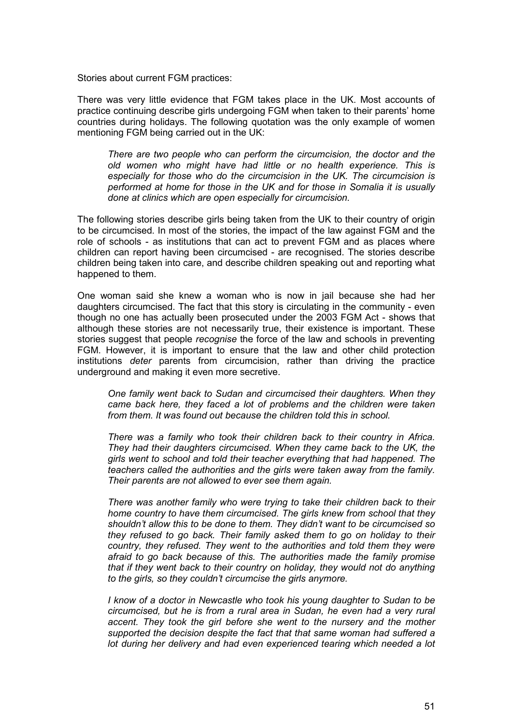Stories about current FGM practices:

There was very little evidence that FGM takes place in the UK. Most accounts of practice continuing describe girls undergoing FGM when taken to their parents' home countries during holidays. The following quotation was the only example of women mentioning FGM being carried out in the UK:

*There are two people who can perform the circumcision, the doctor and the old women who might have had little or no health experience. This is especially for those who do the circumcision in the UK. The circumcision is performed at home for those in the UK and for those in Somalia it is usually done at clinics which are open especially for circumcision.* 

The following stories describe girls being taken from the UK to their country of origin to be circumcised. In most of the stories, the impact of the law against FGM and the role of schools - as institutions that can act to prevent FGM and as places where children can report having been circumcised - are recognised. The stories describe children being taken into care, and describe children speaking out and reporting what happened to them.

One woman said she knew a woman who is now in jail because she had her daughters circumcised. The fact that this story is circulating in the community - even though no one has actually been prosecuted under the 2003 FGM Act - shows that although these stories are not necessarily true, their existence is important. These stories suggest that people *recognise* the force of the law and schools in preventing FGM. However, it is important to ensure that the law and other child protection institutions *deter* parents from circumcision, rather than driving the practice underground and making it even more secretive.

*One family went back to Sudan and circumcised their daughters. When they came back here, they faced a lot of problems and the children were taken from them. It was found out because the children told this in school.* 

*There was a family who took their children back to their country in Africa. They had their daughters circumcised. When they came back to the UK, the girls went to school and told their teacher everything that had happened. The teachers called the authorities and the girls were taken away from the family. Their parents are not allowed to ever see them again.* 

*There was another family who were trying to take their children back to their home country to have them circumcised. The girls knew from school that they shouldn't allow this to be done to them. They didn't want to be circumcised so they refused to go back. Their family asked them to go on holiday to their country, they refused. They went to the authorities and told them they were afraid to go back because of this. The authorities made the family promise that if they went back to their country on holiday, they would not do anything to the girls, so they couldn't circumcise the girls anymore.*

*I know of a doctor in Newcastle who took his young daughter to Sudan to be circumcised, but he is from a rural area in Sudan, he even had a very rural accent. They took the girl before she went to the nursery and the mother supported the decision despite the fact that that same woman had suffered a lot during her delivery and had even experienced tearing which needed a lot*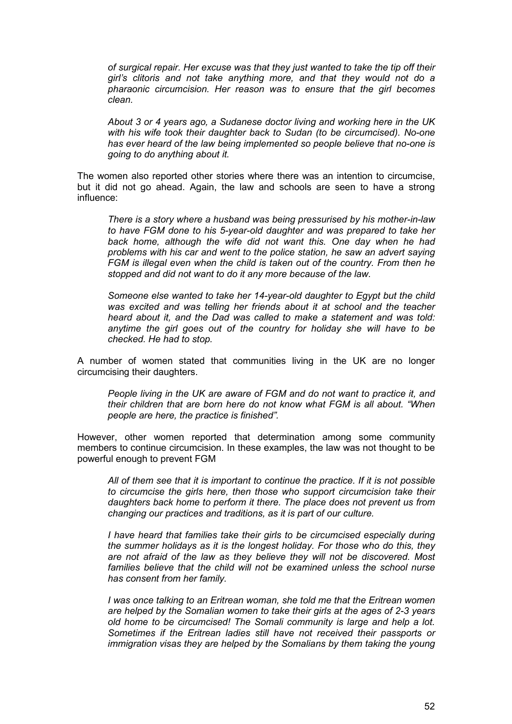*of surgical repair. Her excuse was that they just wanted to take the tip off their girl's clitoris and not take anything more, and that they would not do a pharaonic circumcision. Her reason was to ensure that the girl becomes clean.* 

*About 3 or 4 years ago, a Sudanese doctor living and working here in the UK with his wife took their daughter back to Sudan (to be circumcised). No-one has ever heard of the law being implemented so people believe that no-one is going to do anything about it.* 

The women also reported other stories where there was an intention to circumcise, but it did not go ahead. Again, the law and schools are seen to have a strong influence:

*There is a story where a husband was being pressurised by his mother-in-law to have FGM done to his 5-year-old daughter and was prepared to take her back home, although the wife did not want this. One day when he had problems with his car and went to the police station, he saw an advert saying FGM is illegal even when the child is taken out of the country. From then he stopped and did not want to do it any more because of the law.* 

*Someone else wanted to take her 14-year-old daughter to Egypt but the child was excited and was telling her friends about it at school and the teacher heard about it, and the Dad was called to make a statement and was told: anytime the girl goes out of the country for holiday she will have to be checked. He had to stop.* 

A number of women stated that communities living in the UK are no longer circumcising their daughters.

*People living in the UK are aware of FGM and do not want to practice it, and their children that are born here do not know what FGM is all about. "When people are here, the practice is finished".* 

However, other women reported that determination among some community members to continue circumcision. In these examples, the law was not thought to be powerful enough to prevent FGM

*All of them see that it is important to continue the practice. If it is not possible to circumcise the girls here, then those who support circumcision take their daughters back home to perform it there. The place does not prevent us from changing our practices and traditions, as it is part of our culture.* 

*I have heard that families take their girls to be circumcised especially during the summer holidays as it is the longest holiday. For those who do this, they are not afraid of the law as they believe they will not be discovered. Most*  families believe that the child will not be examined unless the school nurse *has consent from her family.* 

*I was once talking to an Eritrean woman, she told me that the Eritrean women are helped by the Somalian women to take their girls at the ages of 2-3 years old home to be circumcised! The Somali community is large and help a lot. Sometimes if the Eritrean ladies still have not received their passports or immigration visas they are helped by the Somalians by them taking the young*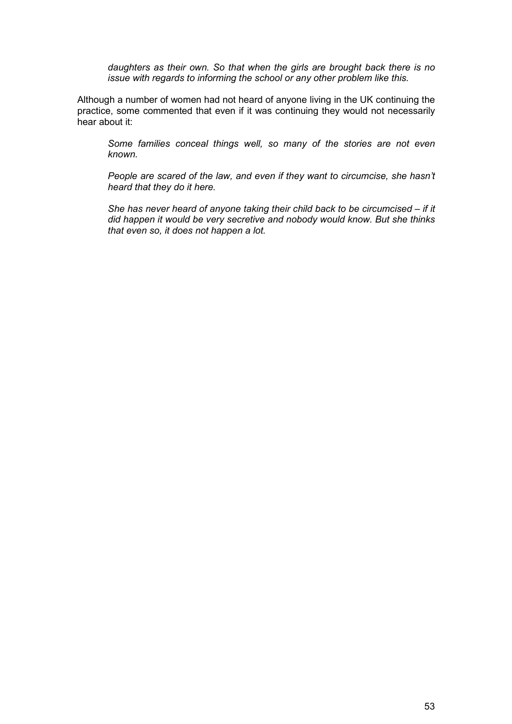*daughters as their own. So that when the girls are brought back there is no issue with regards to informing the school or any other problem like this.* 

Although a number of women had not heard of anyone living in the UK continuing the practice, some commented that even if it was continuing they would not necessarily hear about it:

*Some families conceal things well, so many of the stories are not even known.* 

*People are scared of the law, and even if they want to circumcise, she hasn't heard that they do it here.* 

*She has never heard of anyone taking their child back to be circumcised – if it did happen it would be very secretive and nobody would know. But she thinks that even so, it does not happen a lot.*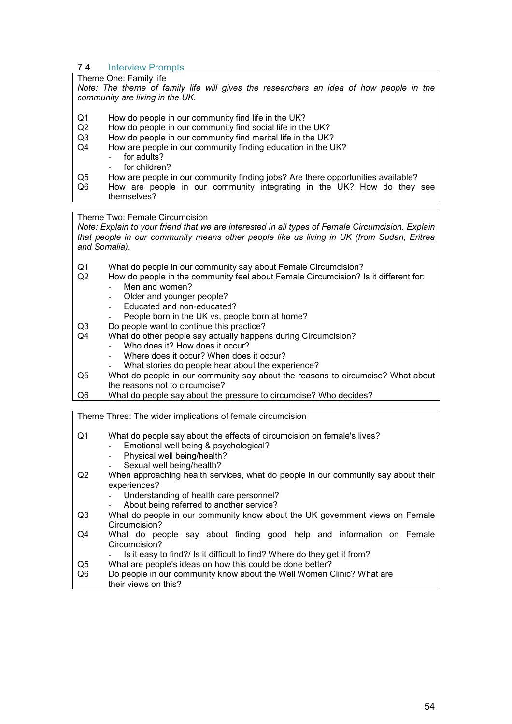#### <span id="page-53-0"></span>7.4 Interview Prompts

## Theme One: Family life

*Note: The theme of family life will gives the researchers an idea of how people in the community are living in the UK.* 

- Q1 How do people in our community find life in the UK?
- Q2 How do people in our community find social life in the UK?
- Q3 How do people in our community find marital life in the UK?
- Q4 How are people in our community finding education in the UK?
	- for adults?
	- for children?
- Q5 How are people in our community finding jobs? Are there opportunities available?
- Q6 How are people in our community integrating in the UK? How do they see themselves?

Theme Two: Female Circumcision

*Note: Explain to your friend that we are interested in all types of Female Circumcision. Explain that people in our community means other people like us living in UK (from Sudan, Eritrea and Somalia)*.

- Q1 What do people in our community say about Female Circumcision?<br>Q2 How do people in the community feel about Female Circumcision? I
- How do people in the community feel about Female Circumcision? Is it different for: Men and women?
	-
	- Older and younger people? Educated and non-educated?
	- People born in the UK vs, people born at home?
- Q3 Do people want to continue this practice?
- Q4 What do other people say actually happens during Circumcision?
	- Who does it? How does it occur?
	- Where does it occur? When does it occur?
	- What stories do people hear about the experience?
- Q5 What do people in our community say about the reasons to circumcise? What about the reasons not to circumcise?
- Q6 What do people say about the pressure to circumcise? Who decides?

Theme Three: The wider implications of female circumcision

Q1 What do people say about the effects of circumcision on female's lives?

- Emotional well being & psychological?
- Physical well being/health?
- Sexual well being/health?
- Q2 When approaching health services, what do people in our community say about their experiences?
	- Understanding of health care personnel?
	- About being referred to another service?
- Q3 What do people in our community know about the UK government views on Female Circumcision?
- Q4 What do people say about finding good help and information on Female Circumcision?
	- Is it easy to find?/ Is it difficult to find? Where do they get it from?
- Q5 What are people's ideas on how this could be done better?
- Q6 Do people in our community know about the Well Women Clinic? What are their views on this?